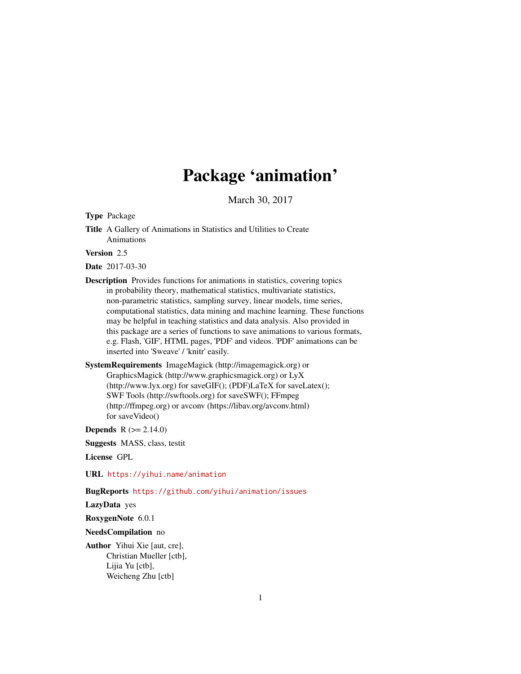# Package 'animation'

March 30, 2017

<span id="page-0-0"></span>Type Package

Title A Gallery of Animations in Statistics and Utilities to Create Animations

Version 2.5

Date 2017-03-30

Description Provides functions for animations in statistics, covering topics in probability theory, mathematical statistics, multivariate statistics, non-parametric statistics, sampling survey, linear models, time series, computational statistics, data mining and machine learning. These functions may be helpful in teaching statistics and data analysis. Also provided in this package are a series of functions to save animations to various formats, e.g. Flash, 'GIF', HTML pages, 'PDF' and videos. 'PDF' animations can be inserted into 'Sweave' / 'knitr' easily.

### SystemRequirements ImageMagick (http://imagemagick.org) or GraphicsMagick (http://www.graphicsmagick.org) or LyX (http://www.lyx.org) for saveGIF(); (PDF)LaTeX for saveLatex(); SWF Tools (http://swftools.org) for saveSWF(); FFmpeg (http://ffmpeg.org) or avconv (https://libav.org/avconv.html) for saveVideo()

**Depends** R  $(>= 2.14.0)$ 

Suggests MASS, class, testit

License GPL

URL <https://yihui.name/animation>

BugReports <https://github.com/yihui/animation/issues>

LazyData yes

RoxygenNote 6.0.1

NeedsCompilation no

Author Yihui Xie [aut, cre], Christian Mueller [ctb], Lijia Yu [ctb], Weicheng Zhu [ctb]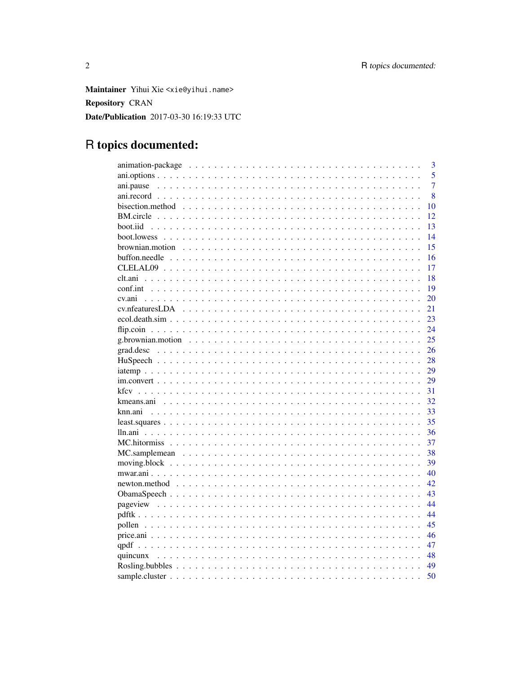Maintainer Yihui Xie <xie@yihui.name> **Repository CRAN** Date/Publication 2017-03-30 16:19:33 UTC

# R topics documented:

|    | $\overline{\mathbf{3}}$ |
|----|-------------------------|
|    | 5                       |
|    | $\overline{7}$          |
|    | 8                       |
|    | 10                      |
|    | 12                      |
|    | 13                      |
|    | 14                      |
|    | 15                      |
|    | 16                      |
|    | 17                      |
|    | 18                      |
|    | 19                      |
|    | 20                      |
| 21 |                         |
|    | 23                      |
|    | 24                      |
|    | 25                      |
|    | 26                      |
|    | 28                      |
|    | 29                      |
|    | 29                      |
| 31 |                         |
|    | 32                      |
| 33 |                         |
| 35 |                         |
|    | 36                      |
|    | 37                      |
|    | 38                      |
|    | 39                      |
|    | 40                      |
|    | 42                      |
|    | 43                      |
|    | 44                      |
| 44 |                         |
| 45 |                         |
|    | 46                      |
| 47 |                         |
| 48 |                         |
|    | 49                      |
|    | 50                      |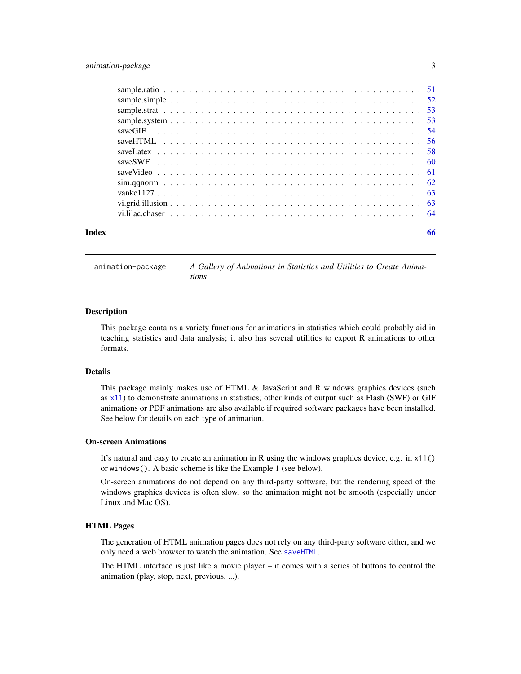### <span id="page-2-0"></span>animation-package 3

| Index | 66 |
|-------|----|

animation-package *A Gallery of Animations in Statistics and Utilities to Create Animations*

#### Description

This package contains a variety functions for animations in statistics which could probably aid in teaching statistics and data analysis; it also has several utilities to export R animations to other formats.

#### Details

This package mainly makes use of HTML & JavaScript and R windows graphics devices (such as [x11](#page-0-0)) to demonstrate animations in statistics; other kinds of output such as Flash (SWF) or GIF animations or PDF animations are also available if required software packages have been installed. See below for details on each type of animation.

#### On-screen Animations

It's natural and easy to create an animation in R using the windows graphics device, e.g. in x11() or windows(). A basic scheme is like the Example 1 (see below).

On-screen animations do not depend on any third-party software, but the rendering speed of the windows graphics devices is often slow, so the animation might not be smooth (especially under Linux and Mac OS).

### HTML Pages

The generation of HTML animation pages does not rely on any third-party software either, and we only need a web browser to watch the animation. See [saveHTML](#page-55-1).

The HTML interface is just like a movie player – it comes with a series of buttons to control the animation (play, stop, next, previous, ...).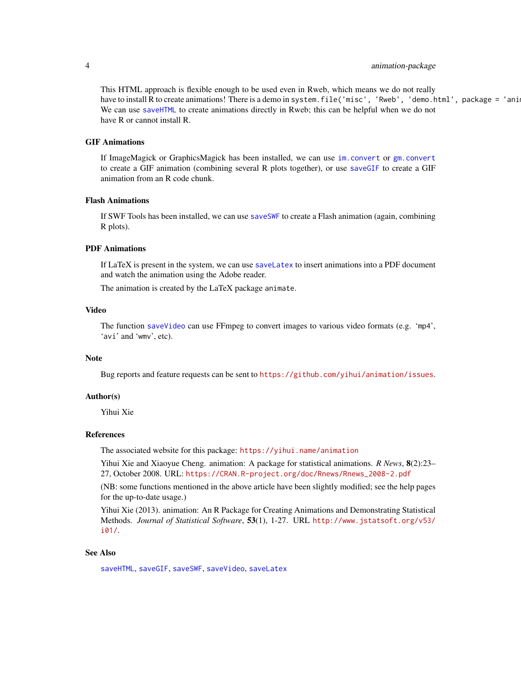### <span id="page-3-0"></span>4 animation-package

This HTML approach is flexible enough to be used even in Rweb, which means we do not really have to install R to create animations! There is a demo in system.file('misc', 'Rweb', 'demo.html', package = 'ani We can use [saveHTML](#page-55-1) to create animations directly in Rweb; this can be helpful when we do not have R or cannot install R.

### GIF Animations

If ImageMagick or GraphicsMagick has been installed, we can use [im.convert](#page-28-1) or [gm.convert](#page-28-2) to create a GIF animation (combining several R plots together), or use [saveGIF](#page-53-1) to create a GIF animation from an R code chunk.

### Flash Animations

If SWF Tools has been installed, we can use [saveSWF](#page-59-1) to create a Flash animation (again, combining R plots).

#### PDF Animations

If LaTeX is present in the system, we can use [saveLatex](#page-57-1) to insert animations into a PDF document and watch the animation using the Adobe reader.

The animation is created by the LaTeX package animate.

#### Video

The function [saveVideo](#page-60-1) can use FFmpeg to convert images to various video formats (e.g. 'mp4', 'avi' and 'wmv', etc).

#### **Note**

Bug reports and feature requests can be sent to <https://github.com/yihui/animation/issues>.

#### Author(s)

Yihui Xie

### References

The associated website for this package: <https://yihui.name/animation>

Yihui Xie and Xiaoyue Cheng. animation: A package for statistical animations. *R News*, 8(2):23– 27, October 2008. URL: [https://CRAN.R-project.org/doc/Rnews/Rnews\\_2008-2.pdf](https://CRAN.R-project.org/doc/Rnews/Rnews_2008-2.pdf)

(NB: some functions mentioned in the above article have been slightly modified; see the help pages for the up-to-date usage.)

Yihui Xie (2013). animation: An R Package for Creating Animations and Demonstrating Statistical Methods. *Journal of Statistical Software*, 53(1), 1-27. URL [http://www.jstatsoft.org/v53/](http://www.jstatsoft.org/v53/i01/) [i01/](http://www.jstatsoft.org/v53/i01/).

#### See Also

[saveHTML](#page-55-1), [saveGIF](#page-53-1), [saveSWF](#page-59-1), [saveVideo](#page-60-1), [saveLatex](#page-57-1)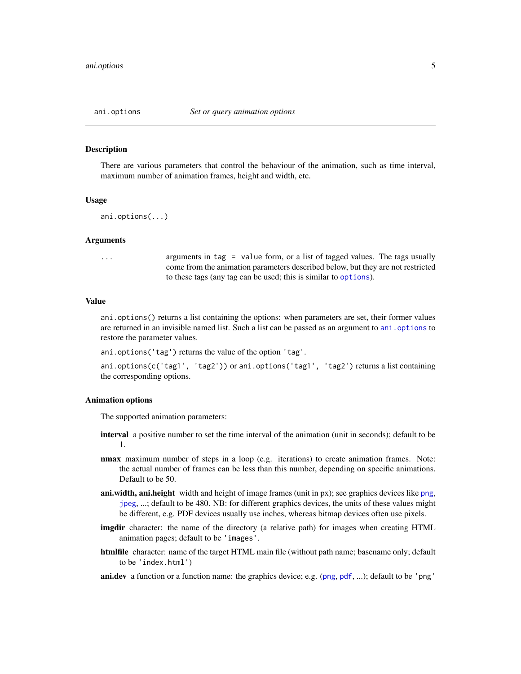<span id="page-4-1"></span><span id="page-4-0"></span>

There are various parameters that control the behaviour of the animation, such as time interval, maximum number of animation frames, height and width, etc.

#### Usage

```
ani.options(...)
```
#### Arguments

... arguments in tag = value form, or a list of tagged values. The tags usually come from the animation parameters described below, but they are not restricted to these tags (any tag can be used; this is similar to [options](#page-0-0)).

#### Value

ani.options() returns a list containing the options: when parameters are set, their former values are returned in an invisible named list. Such a list can be passed as an argument to [ani.options](#page-4-1) to restore the parameter values.

ani.options('tag') returns the value of the option 'tag'.

ani.options(c('tag1', 'tag2')) or ani.options('tag1', 'tag2') returns a list containing the corresponding options.

#### Animation options

The supported animation parameters:

- interval a positive number to set the time interval of the animation (unit in seconds); default to be 1.
- nmax maximum number of steps in a loop (e.g. iterations) to create animation frames. Note: the actual number of frames can be less than this number, depending on specific animations. Default to be 50.
- **ani.width, ani.height** width and height of image frames (unit in  $px$ ); see graphics devices like  $png$ , [jpeg](#page-0-0), ...; default to be 480. NB: for different graphics devices, the units of these values might be different, e.g. PDF devices usually use inches, whereas bitmap devices often use pixels.
- imgdir character: the name of the directory (a relative path) for images when creating HTML animation pages; default to be 'images'.
- htmlfile character: name of the target HTML main file (without path name; basename only; default to be 'index.html')
- ani.dev a function or a function name: the graphics device; e.g. ([png](#page-0-0), [pdf](#page-0-0), ...); default to be 'png'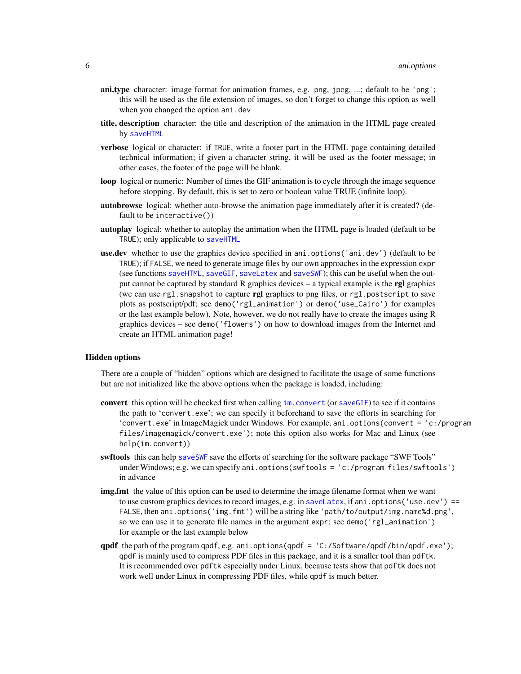- <span id="page-5-0"></span>ani.type character: image format for animation frames, e.g. png, jpeg, ...; default to be 'png'; this will be used as the file extension of images, so don't forget to change this option as well when you changed the option ani.dev
- title, description character: the title and description of the animation in the HTML page created by [saveHTML](#page-55-1)
- verbose logical or character: if TRUE, write a footer part in the HTML page containing detailed technical information; if given a character string, it will be used as the footer message; in other cases, the footer of the page will be blank.
- loop logical or numeric: Number of times the GIF animation is to cycle through the image sequence before stopping. By default, this is set to zero or boolean value TRUE (infinite loop).
- autobrowse logical: whether auto-browse the animation page immediately after it is created? (default to be interactive())
- autoplay logical: whether to autoplay the animation when the HTML page is loaded (default to be TRUE); only applicable to [saveHTML](#page-55-1)
- use.dev whether to use the graphics device specified in ani.options ('ani.dev') (default to be TRUE); if FALSE, we need to generate image files by our own approaches in the expression expr (see functions [saveHTML](#page-55-1), [saveGIF](#page-53-1), [saveLatex](#page-57-1) and [saveSWF](#page-59-1)); this can be useful when the output cannot be captured by standard R graphics devices  $-$  a typical example is the **rgl** graphics (we can use rgl.snapshot to capture rgl graphics to png files, or rgl.postscript to save plots as postscript/pdf; see demo('rgl\_animation') or demo('use\_Cairo') for examples or the last example below). Note, however, we do not really have to create the images using R graphics devices – see demo('flowers') on how to download images from the Internet and create an HTML animation page!

#### Hidden options

There are a couple of "hidden" options which are designed to facilitate the usage of some functions but are not initialized like the above options when the package is loaded, including:

- convert this option will be checked first when calling im. convert (or [saveGIF](#page-53-1)) to see if it contains the path to 'convert.exe'; we can specify it beforehand to save the efforts in searching for 'convert.exe' in ImageMagick under Windows. For example, ani.options(convert = 'c:/program files/imagemagick/convert.exe'); note this option also works for Mac and Linux (see help(im.convert))
- swftools this can help [saveSWF](#page-59-1) save the efforts of searching for the software package "SWF Tools" under Windows; e.g. we can specify ani.options(swftools = 'c:/program files/swftools') in advance
- img.fmt the value of this option can be used to determine the image filename format when we want to use custom graphics devices to record images, e.g. in [saveLatex](#page-57-1), if ani.options('use.dev') == FALSE, then ani.options('img.fmt') will be a string like 'path/to/output/img.name%d.png', so we can use it to generate file names in the argument expr; see demo('rgl\_animation') for example or the last example below
- qpdf the path of the program qpdf, e.g. ani.options(qpdf =  $'C$ :/Software/qpdf/bin/qpdf.exe'); qpdf is mainly used to compress PDF files in this package, and it is a smaller tool than pdftk. It is recommended over pdftk especially under Linux, because tests show that pdftk does not work well under Linux in compressing PDF files, while qpdf is much better.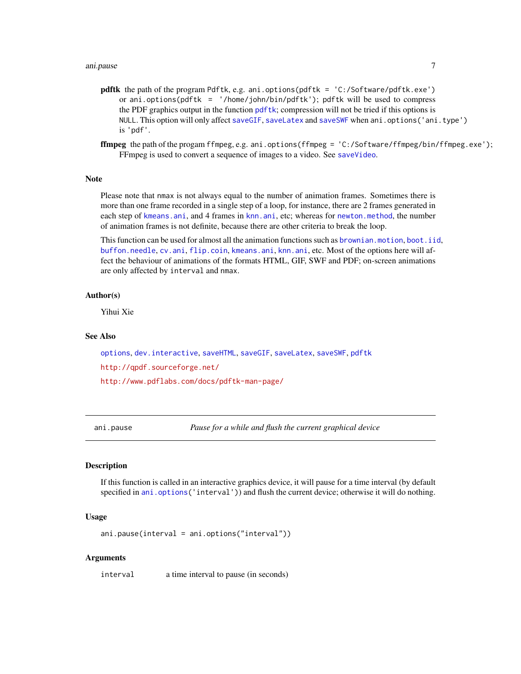#### <span id="page-6-0"></span>ani.pause 7

- pdftk the path of the program Pdftk, e.g. ani.options(pdftk = 'C:/Software/pdftk.exe') or ani.options(pdftk = '/home/john/bin/pdftk'); pdftk will be used to compress the PDF graphics output in the function [pdftk](#page-43-1); compression will not be tried if this options is NULL. This option will only affect [saveGIF](#page-53-1), [saveLatex](#page-57-1) and [saveSWF](#page-59-1) when ani.options('ani.type') is 'pdf'.
- ffmpeg the path of the progam ffmpeg, e.g. ani.options(ffmpeg = 'C:/Software/ffmpeg/bin/ffmpeg.exe'); FFmpeg is used to convert a sequence of images to a video. See [saveVideo](#page-60-1).

#### Note

Please note that nmax is not always equal to the number of animation frames. Sometimes there is more than one frame recorded in a single step of a loop, for instance, there are 2 frames generated in each step of [kmeans.ani](#page-31-1), and 4 frames in [knn.ani](#page-32-1), etc; whereas for [newton.method](#page-41-1), the number of animation frames is not definite, because there are other criteria to break the loop.

This function can be used for almost all the animation functions such as [brownian.motion](#page-14-1), [boot.iid](#page-12-1), [buffon.needle](#page-15-1), [cv.ani](#page-19-1), [flip.coin](#page-23-1), [kmeans.ani](#page-31-1), [knn.ani](#page-32-1), etc. Most of the options here will affect the behaviour of animations of the formats HTML, GIF, SWF and PDF; on-screen animations are only affected by interval and nmax.

#### Author(s)

Yihui Xie

### See Also

```
options, dev.interactive, saveHTML, saveGIF, saveLatex, saveSWF, pdftk
http://qpdf.sourceforge.net/
http://www.pdflabs.com/docs/pdftk-man-page/
```
<span id="page-6-1"></span>ani.pause *Pause for a while and flush the current graphical device*

#### Description

If this function is called in an interactive graphics device, it will pause for a time interval (by default specified in [ani.options\(](#page-4-1)'interval')) and flush the current device; otherwise it will do nothing.

#### Usage

```
ani.pause(interval = ani.options("interval"))
```
#### **Arguments**

interval a time interval to pause (in seconds)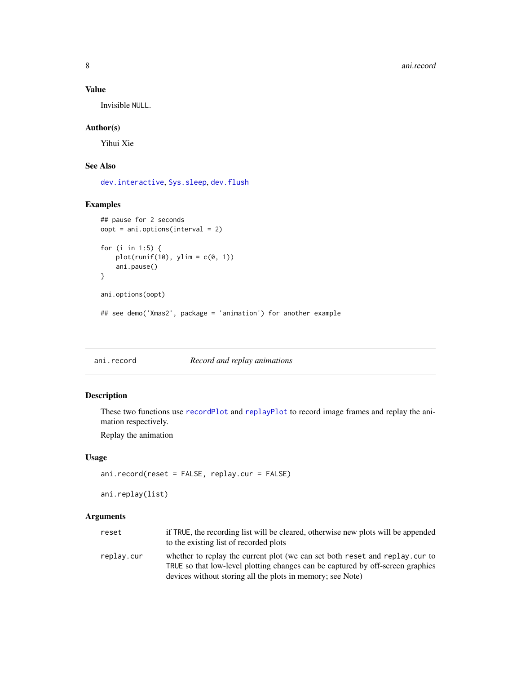### Value

Invisible NULL.

### Author(s)

Yihui Xie

### See Also

[dev.interactive](#page-0-0), [Sys.sleep](#page-0-0), [dev.flush](#page-0-0)

### Examples

```
## pause for 2 seconds
oopt = ani.options(interval = 2)
for (i in 1:5) {
    plot(runif(10), ylim = c(0, 1))ani.pause()
}
ani.options(oopt)
## see demo('Xmas2', package = 'animation') for another example
```
<span id="page-7-1"></span>ani.record *Record and replay animations*

### <span id="page-7-2"></span>Description

These two functions use [recordPlot](#page-0-0) and [replayPlot](#page-0-0) to record image frames and replay the animation respectively.

Replay the animation

#### Usage

```
ani.record(reset = FALSE, replay.cur = FALSE)
```
ani.replay(list)

### Arguments

| reset      | if TRUE, the recording list will be cleared, otherwise new plots will be appended                                                                             |
|------------|---------------------------------------------------------------------------------------------------------------------------------------------------------------|
|            | to the existing list of recorded plots                                                                                                                        |
| replav.cur | whether to replay the current plot (we can set both reset and replay cur to<br>TRUE so that low-level plotting changes can be captured by off-screen graphics |
|            | devices without storing all the plots in memory; see Note)                                                                                                    |

<span id="page-7-0"></span>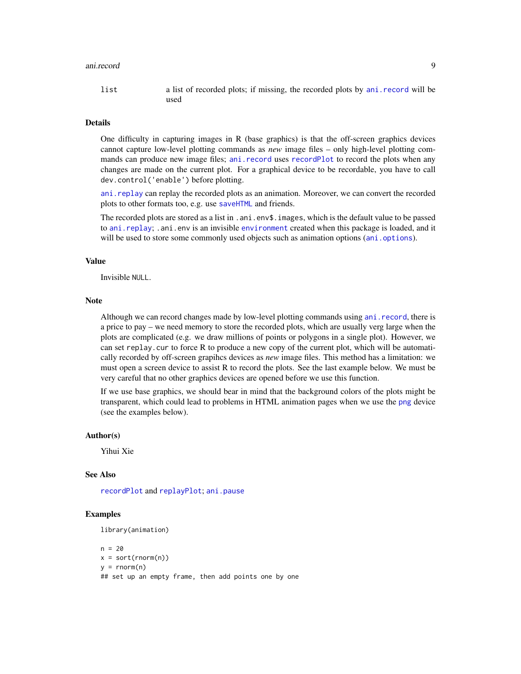#### <span id="page-8-0"></span>ani.record 9

#### Details

One difficulty in capturing images in R (base graphics) is that the off-screen graphics devices cannot capture low-level plotting commands as *new* image files – only high-level plotting commands can produce new image files; [ani.record](#page-7-1) uses [recordPlot](#page-0-0) to record the plots when any changes are made on the current plot. For a graphical device to be recordable, you have to call dev.control('enable') before plotting.

[ani.replay](#page-7-2) can replay the recorded plots as an animation. Moreover, we can convert the recorded plots to other formats too, e.g. use [saveHTML](#page-55-1) and friends.

The recorded plots are stored as a list in . ani. env\$. images, which is the default value to be passed to [ani.replay](#page-7-2); .ani.env is an invisible [environment](#page-0-0) created when this package is loaded, and it will be used to store some commonly used objects such as animation options ([ani.options](#page-4-1)).

### Value

Invisible NULL.

#### **Note**

Although we can record changes made by low-level plotting commands using ani. record, there is a price to pay – we need memory to store the recorded plots, which are usually verg large when the plots are complicated (e.g. we draw millions of points or polygons in a single plot). However, we can set replay.cur to force R to produce a new copy of the current plot, which will be automatically recorded by off-screen grapihcs devices as *new* image files. This method has a limitation: we must open a screen device to assist R to record the plots. See the last example below. We must be very careful that no other graphics devices are opened before we use this function.

If we use base graphics, we should bear in mind that the background colors of the plots might be transparent, which could lead to problems in HTML animation pages when we use the [png](#page-0-0) device (see the examples below).

#### Author(s)

Yihui Xie

#### See Also

[recordPlot](#page-0-0) and [replayPlot](#page-0-0); [ani.pause](#page-6-1)

#### Examples

```
library(animation)
```

```
n = 20x = sort(rnorm(n))y = \text{norm}(n)## set up an empty frame, then add points one by one
```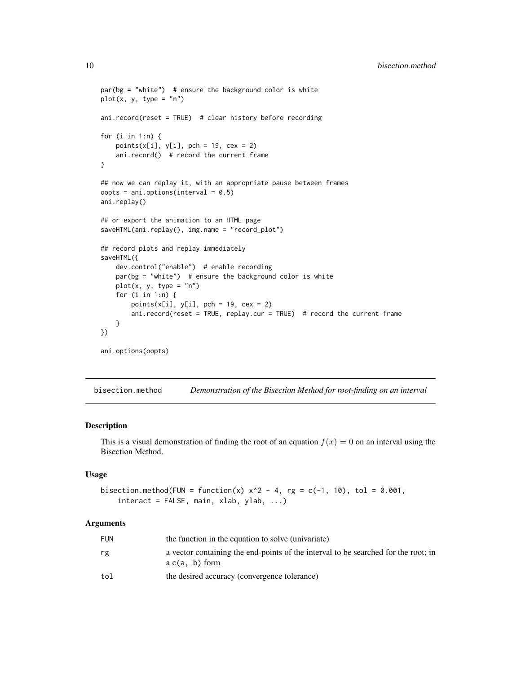```
par(bg = "white") # ensure the background color is white
plot(x, y, type = "n")ani.record(reset = TRUE) # clear history before recording
for (i in 1:n) {
    points(x[i], y[i], pch = 19, cex = 2)
    ani.record() # record the current frame
}
## now we can replay it, with an appropriate pause between frames
oopts = ani.options(interval = 0.5)ani.replay()
## or export the animation to an HTML page
saveHTML(ani.replay(), img.name = "record_plot")
## record plots and replay immediately
saveHTML({
    dev.control("enable") # enable recording
   par(bg = "white") # ensure the background color is white
   plot(x, y, type = "n")for (i in 1:n) {
        points(x[i], y[i], pch = 19, cex = 2)
        ani.record(reset = TRUE, replay.cur = TRUE) # record the current frame
    }
})
ani.options(oopts)
```
bisection.method *Demonstration of the Bisection Method for root-finding on an interval*

### Description

This is a visual demonstration of finding the root of an equation  $f(x) = 0$  on an interval using the Bisection Method.

### Usage

```
bisection.method(FUN = function(x) x^2 - 4, rg = c(-1, 10), tol = 0.001,
    interact = FALSE, main, xlab, ylab, ...)
```
#### Arguments

| FUN | the function in the equation to solve (univariate)                                                    |
|-----|-------------------------------------------------------------------------------------------------------|
| rg  | a vector containing the end-points of the interval to be searched for the root; in<br>$ac(a, b)$ form |
| tol | the desired accuracy (convergence tolerance)                                                          |

<span id="page-9-0"></span>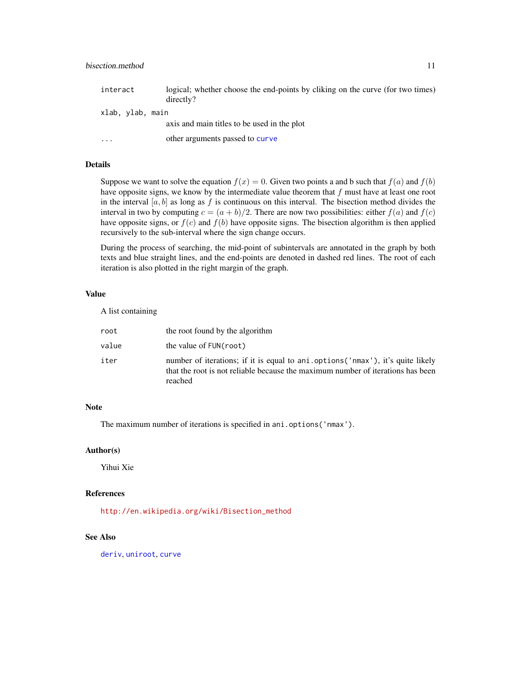<span id="page-10-0"></span>

| interact | logical; whether choose the end-points by cliking on the curve (for two times) |
|----------|--------------------------------------------------------------------------------|
|          | $1' \ldots 100$                                                                |

|                  | directly?                                   |
|------------------|---------------------------------------------|
| xlab, ylab, main |                                             |
|                  | axis and main titles to be used in the plot |

... other arguments passed to [curve](#page-0-0)

### Details

Suppose we want to solve the equation  $f(x) = 0$ . Given two points a and b such that  $f(a)$  and  $f(b)$ have opposite signs, we know by the intermediate value theorem that  $f$  must have at least one root in the interval  $[a, b]$  as long as f is continuous on this interval. The bisection method divides the interval in two by computing  $c = (a + b)/2$ . There are now two possibilities: either  $f(a)$  and  $f(c)$ have opposite signs, or  $f(c)$  and  $f(b)$  have opposite signs. The bisection algorithm is then applied recursively to the sub-interval where the sign change occurs.

During the process of searching, the mid-point of subintervals are annotated in the graph by both texts and blue straight lines, and the end-points are denoted in dashed red lines. The root of each iteration is also plotted in the right margin of the graph.

### Value

A list containing

| root  | the root found by the algorithm                                                                                                                                               |
|-------|-------------------------------------------------------------------------------------------------------------------------------------------------------------------------------|
| value | the value of FUN(root)                                                                                                                                                        |
| iter  | number of iterations; if it is equal to ani.options ('nmax'), it's quite likely<br>that the root is not reliable because the maximum number of iterations has been<br>reached |

### Note

The maximum number of iterations is specified in ani.options('nmax').

### Author(s)

Yihui Xie

### References

[http://en.wikipedia.org/wiki/Bisection\\_method](http://en.wikipedia.org/wiki/Bisection_method)

### See Also

[deriv](#page-0-0), [uniroot](#page-0-0), [curve](#page-0-0)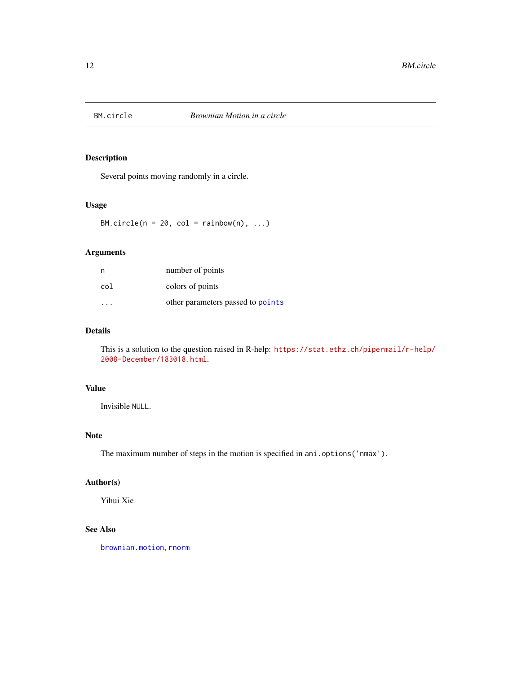<span id="page-11-1"></span><span id="page-11-0"></span>

Several points moving randomly in a circle.

### Usage

BM.circle( $n = 20$ , col = rainbow( $n$ ), ...)

### Arguments

| n   | number of points                  |
|-----|-----------------------------------|
| col | colors of points                  |
| .   | other parameters passed to points |

### Details

This is a solution to the question raised in R-help: [https://stat.ethz.ch/pipermail/r-help/](https://stat.ethz.ch/pipermail/r-help/2008-December/183018.html) [2008-December/183018.html](https://stat.ethz.ch/pipermail/r-help/2008-December/183018.html).

### Value

Invisible NULL.

## Note

The maximum number of steps in the motion is specified in ani.options('nmax').

### Author(s)

Yihui Xie

## See Also

[brownian.motion](#page-14-1), [rnorm](#page-0-0)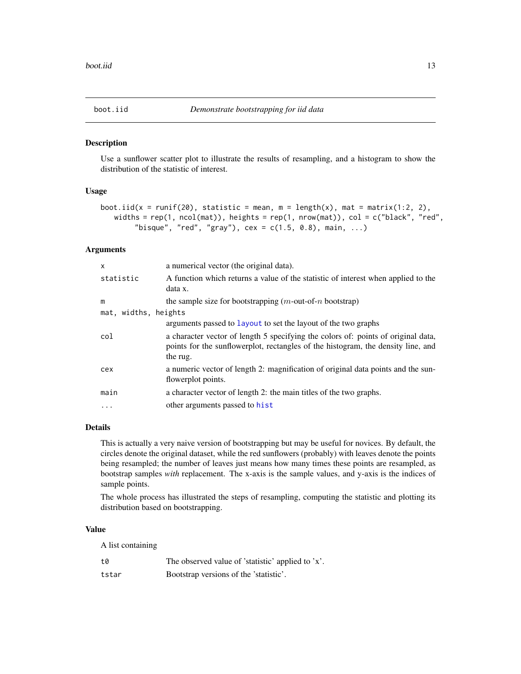<span id="page-12-1"></span><span id="page-12-0"></span>

Use a sunflower scatter plot to illustrate the results of resampling, and a histogram to show the distribution of the statistic of interest.

### Usage

```
boot.iid(x = runif(20), statistic = mean, m = length(x), mat = matrix(1:2, 2),
   widths = rep(1, ncol(mat)), heights = rep(1, nrow(mat)), col = c("black", "red","bisque", "red", "gray"), cex = c(1.5, 0.8), main, ...)
```
#### Arguments

| a numerical vector (the original data).                                                                                                                                           |
|-----------------------------------------------------------------------------------------------------------------------------------------------------------------------------------|
| A function which returns a value of the statistic of interest when applied to the<br>data x.                                                                                      |
| the sample size for bootstrapping $(m$ -out-of-n bootstrap)                                                                                                                       |
| mat, widths, heights                                                                                                                                                              |
| arguments passed to layout to set the layout of the two graphs                                                                                                                    |
| a character vector of length 5 specifying the colors of: points of original data,<br>points for the sunflowerplot, rectangles of the histogram, the density line, and<br>the rug. |
| a numeric vector of length 2: magnification of original data points and the sun-<br>flowerplot points.                                                                            |
| a character vector of length 2: the main titles of the two graphs.                                                                                                                |
| other arguments passed to hist                                                                                                                                                    |
|                                                                                                                                                                                   |

### Details

This is actually a very naive version of bootstrapping but may be useful for novices. By default, the circles denote the original dataset, while the red sunflowers (probably) with leaves denote the points being resampled; the number of leaves just means how many times these points are resampled, as bootstrap samples *with* replacement. The x-axis is the sample values, and y-axis is the indices of sample points.

The whole process has illustrated the steps of resampling, computing the statistic and plotting its distribution based on bootstrapping.

#### Value

A list containing

| t0    | The observed value of 'statistic' applied to 'x'. |
|-------|---------------------------------------------------|
| tstar | Bootstrap versions of the 'statistic'.            |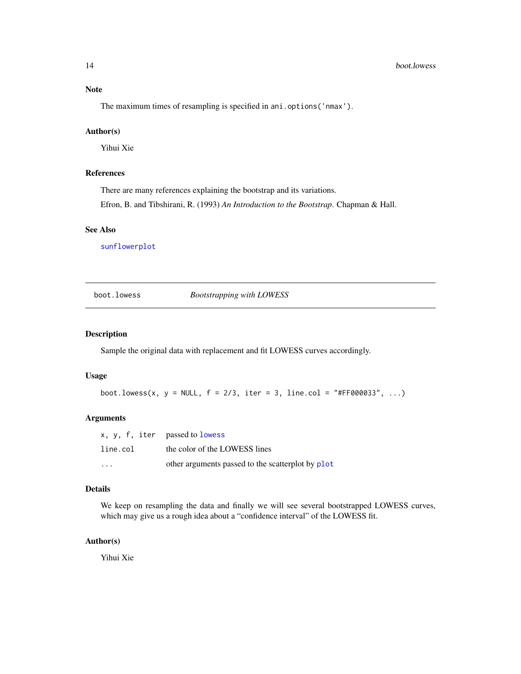<span id="page-13-0"></span>The maximum times of resampling is specified in ani.options('nmax').

### Author(s)

Yihui Xie

### References

There are many references explaining the bootstrap and its variations.

Efron, B. and Tibshirani, R. (1993) *An Introduction to the Bootstrap*. Chapman & Hall.

#### See Also

[sunflowerplot](#page-0-0)

boot.lowess *Bootstrapping with LOWESS*

#### Description

Sample the original data with replacement and fit LOWESS curves accordingly.

#### Usage

boot.lowess(x,  $y = NULL$ ,  $f = 2/3$ , iter = 3, line.col = "#FF000033", ...)

#### Arguments

|                         | x, y, f, iter passed to lowess                    |
|-------------------------|---------------------------------------------------|
| line.col                | the color of the LOWESS lines                     |
| $\cdot$ $\cdot$ $\cdot$ | other arguments passed to the scatterplot by plot |

#### Details

We keep on resampling the data and finally we will see several bootstrapped LOWESS curves, which may give us a rough idea about a "confidence interval" of the LOWESS fit.

#### Author(s)

Yihui Xie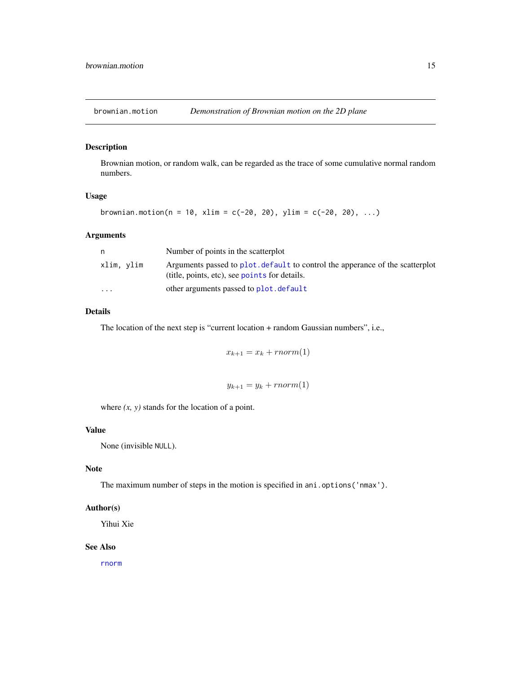<span id="page-14-1"></span><span id="page-14-0"></span>

Brownian motion, or random walk, can be regarded as the trace of some cumulative normal random numbers.

### Usage

brownian.motion( $n = 10$ , xlim = c(-20, 20), ylim = c(-20, 20), ...)

### Arguments

| n                       | Number of points in the scatterplot                                                                                            |
|-------------------------|--------------------------------------------------------------------------------------------------------------------------------|
| xlim, ylim              | Arguments passed to plot, default to control the apperance of the scatterplot<br>(title, points, etc), see points for details. |
| $\cdot$ $\cdot$ $\cdot$ | other arguments passed to plot. default                                                                                        |

### Details

The location of the next step is "current location + random Gaussian numbers", i.e.,

$$
x_{k+1} = x_k + \text{norm}(1)
$$

$$
y_{k+1} = y_k + rnorm(1)
$$

where  $(x, y)$  stands for the location of a point.

### Value

None (invisible NULL).

### Note

The maximum number of steps in the motion is specified in ani.options('nmax').

### Author(s)

Yihui Xie

#### See Also

[rnorm](#page-0-0)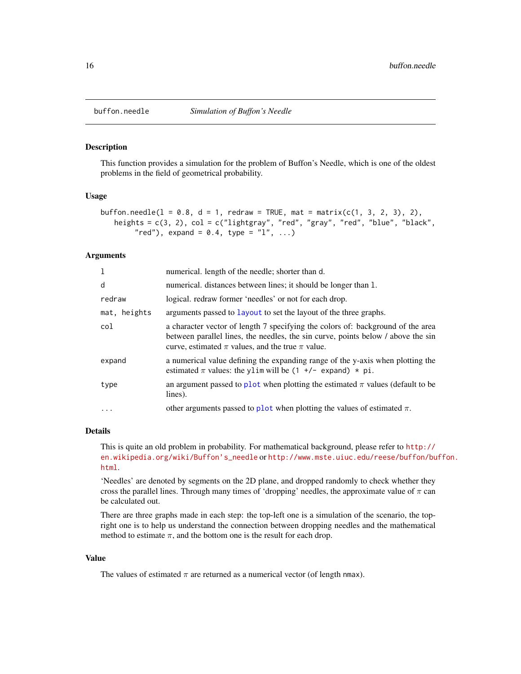<span id="page-15-1"></span><span id="page-15-0"></span>

This function provides a simulation for the problem of Buffon's Needle, which is one of the oldest problems in the field of geometrical probability.

### Usage

```
buffon.needle(l = 0.8, d = 1, redraw = TRUE, mat = matrix(c(1, 3, 2, 3), 2),
   heights = c(3, 2), col = c("lightgray", "red", "gray", "red", "blue", "black","red"), expand = 0.4, type = "1", ...
```
#### Arguments

| 1            | numerical. length of the needle; shorter than d.                                                                                                                                                                                |
|--------------|---------------------------------------------------------------------------------------------------------------------------------------------------------------------------------------------------------------------------------|
| d            | numerical. distances between lines; it should be longer than 1.                                                                                                                                                                 |
| redraw       | logical. redraw former 'needles' or not for each drop.                                                                                                                                                                          |
| mat, heights | arguments passed to layout to set the layout of the three graphs.                                                                                                                                                               |
| col          | a character vector of length 7 specifying the colors of: background of the area<br>between parallel lines, the needles, the sin curve, points below / above the sin<br>curve, estimated $\pi$ values, and the true $\pi$ value. |
| expand       | a numerical value defining the expanding range of the y-axis when plotting the<br>estimated $\pi$ values: the ylim will be (1 +/- expand) $*$ pi.                                                                               |
| type         | an argument passed to plot when plotting the estimated $\pi$ values (default to be<br>lines).                                                                                                                                   |
| $\ddots$     | other arguments passed to plot when plotting the values of estimated $\pi$ .                                                                                                                                                    |

#### Details

This is quite an old problem in probability. For mathematical background, please refer to [http://](http://en.wikipedia.org/wiki/Buffon) [en.wikipedia.org/wiki/Buffon's\\_needle](http://en.wikipedia.org/wiki/Buffon) or [http://www.mste.uiuc.edu/reese/buffon/bu](http://www.mste.uiuc.edu/reese/buffon/buffon.html)ffon. [html](http://www.mste.uiuc.edu/reese/buffon/buffon.html).

'Needles' are denoted by segments on the 2D plane, and dropped randomly to check whether they cross the parallel lines. Through many times of 'dropping' needles, the approximate value of  $\pi$  can be calculated out.

There are three graphs made in each step: the top-left one is a simulation of the scenario, the topright one is to help us understand the connection between dropping needles and the mathematical method to estimate  $\pi$ , and the bottom one is the result for each drop.

### Value

The values of estimated  $\pi$  are returned as a numerical vector (of length nmax).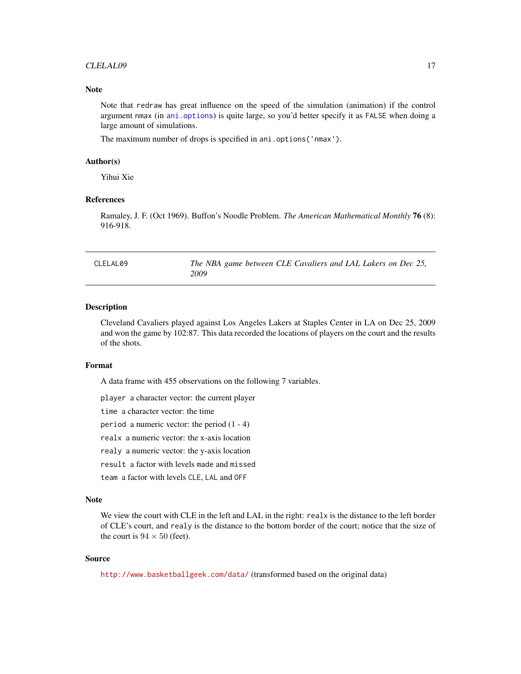#### <span id="page-16-0"></span> $CLELALO9$  17

### Note

Note that redraw has great influence on the speed of the simulation (animation) if the control argument nmax (in [ani.options](#page-4-1)) is quite large, so you'd better specify it as FALSE when doing a large amount of simulations.

The maximum number of drops is specified in ani.options('nmax').

#### Author(s)

Yihui Xie

#### **References**

Ramaley, J. F. (Oct 1969). Buffon's Noodle Problem. *The American Mathematical Monthly* 76 (8): 916-918.

| The NBA game between CLE Cavaliers and LAL Lakers on Dec 25,<br>CLELAL09<br>2009 |  |
|----------------------------------------------------------------------------------|--|
|----------------------------------------------------------------------------------|--|

#### Description

Cleveland Cavaliers played against Los Angeles Lakers at Staples Center in LA on Dec 25, 2009 and won the game by 102:87. This data recorded the locations of players on the court and the results of the shots.

#### Format

A data frame with 455 observations on the following 7 variables.

player a character vector: the current player

time a character vector: the time

period a numeric vector: the period (1 - 4)

realx a numeric vector: the x-axis location

realy a numeric vector: the y-axis location

result a factor with levels made and missed

team a factor with levels CLE, LAL and OFF

#### Note

We view the court with CLE in the left and LAL in the right: realx is the distance to the left border of CLE's court, and realy is the distance to the bottom border of the court; notice that the size of the court is  $94 \times 50$  (feet).

#### Source

<http://www.basketballgeek.com/data/> (transformed based on the original data)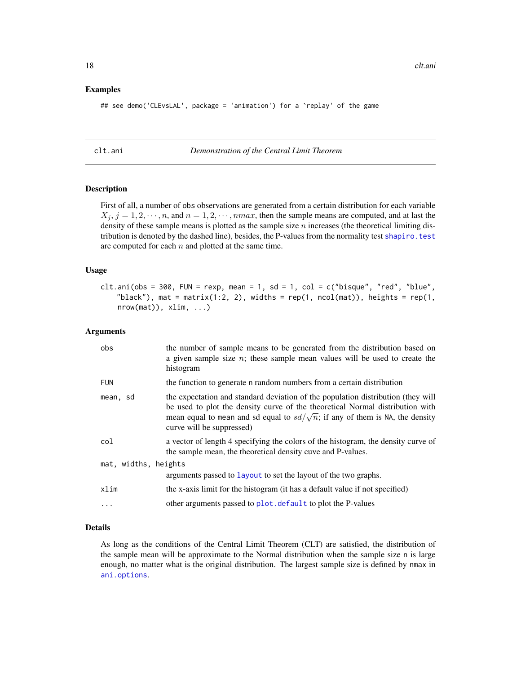#### <span id="page-17-0"></span>Examples

```
## see demo('CLEvsLAL', package = 'animation') for a `replay' of the game
```
#### clt.ani *Demonstration of the Central Limit Theorem*

#### Description

First of all, a number of obs observations are generated from a certain distribution for each variable  $X_j$ ,  $j = 1, 2, \dots, n$ , and  $n = 1, 2, \dots, n$  max, then the sample means are computed, and at last the density of these sample means is plotted as the sample size  $n$  increases (the theoretical limiting distribution is denoted by the dashed line), besides, the P-values from the normality test [shapiro.test](#page-0-0) are computed for each  $n$  and plotted at the same time.

#### Usage

```
clt.ani(obs = 300, FUN = rexp, mean = 1, sd = 1, col = c("bisque", "red", "blue",
   "black"), mat = matrix(1:2, 2), widths = rep(1, ncol(mat)), heights = rep(1,nrow(mat)), xlim, ...)
```
#### Arguments

| obs                  | the number of sample means to be generated from the distribution based on<br>a given sample size $n$ ; these sample mean values will be used to create the<br>histogram                                                                                                                |
|----------------------|----------------------------------------------------------------------------------------------------------------------------------------------------------------------------------------------------------------------------------------------------------------------------------------|
| <b>FUN</b>           | the function to generate n random numbers from a certain distribution                                                                                                                                                                                                                  |
| mean, sd             | the expectation and standard deviation of the population distribution (they will<br>be used to plot the density curve of the theoretical Normal distribution with<br>mean equal to mean and sd equal to $sd/\sqrt{n}$ ; if any of them is NA, the density<br>curve will be suppressed) |
| col                  | a vector of length 4 specifying the colors of the histogram, the density curve of<br>the sample mean, the theoretical density cuve and P-values.                                                                                                                                       |
| mat, widths, heights | arguments passed to layout to set the layout of the two graphs.                                                                                                                                                                                                                        |
| xlim                 | the x-axis limit for the histogram (it has a default value if not specified)                                                                                                                                                                                                           |
| $\cdots$             | other arguments passed to plot. default to plot the P-values                                                                                                                                                                                                                           |

#### Details

As long as the conditions of the Central Limit Theorem (CLT) are satisfied, the distribution of the sample mean will be approximate to the Normal distribution when the sample size n is large enough, no matter what is the original distribution. The largest sample size is defined by nmax in [ani.options](#page-4-1).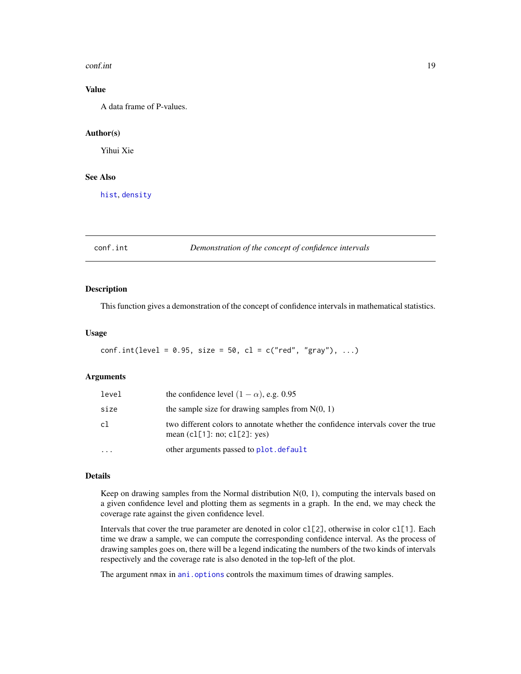#### <span id="page-18-0"></span>conf.int 19

### Value

A data frame of P-values.

### Author(s)

Yihui Xie

### See Also

[hist](#page-0-0), [density](#page-0-0)

### conf.int *Demonstration of the concept of confidence intervals*

#### Description

This function gives a demonstration of the concept of confidence intervals in mathematical statistics.

### Usage

```
conf.int(level = 0.95, size = 50, cl = c("red", "gray"), ...)
```
#### Arguments

| level    | the confidence level $(1 - \alpha)$ , e.g. 0.95                                                                        |
|----------|------------------------------------------------------------------------------------------------------------------------|
| size     | the sample size for drawing samples from $N(0, 1)$                                                                     |
| c1       | two different colors to annotate whether the confidence intervals cover the true<br>mean $(cl[1]$ : no; $cl[2]$ : yes) |
| $\cdots$ | other arguments passed to plot. default                                                                                |

#### Details

Keep on drawing samples from the Normal distribution  $N(0, 1)$ , computing the intervals based on a given confidence level and plotting them as segments in a graph. In the end, we may check the coverage rate against the given confidence level.

Intervals that cover the true parameter are denoted in color cl[2], otherwise in color cl[1]. Each time we draw a sample, we can compute the corresponding confidence interval. As the process of drawing samples goes on, there will be a legend indicating the numbers of the two kinds of intervals respectively and the coverage rate is also denoted in the top-left of the plot.

The argument nmax in [ani.options](#page-4-1) controls the maximum times of drawing samples.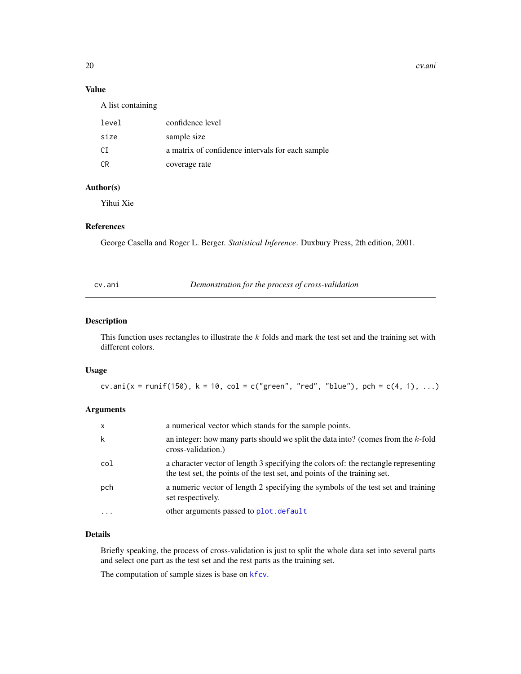20 cv.ani

### Value

|  | A list containing |  |
|--|-------------------|--|
|  |                   |  |

| level     | confidence level                                 |
|-----------|--------------------------------------------------|
| size      | sample size                                      |
| СI        | a matrix of confidence intervals for each sample |
| <b>CR</b> | coverage rate                                    |
|           |                                                  |

## Author(s)

Yihui Xie

#### References

George Casella and Roger L. Berger. *Statistical Inference*. Duxbury Press, 2th edition, 2001.

<span id="page-19-1"></span>

cv.ani *Demonstration for the process of cross-validation*

#### Description

This function uses rectangles to illustrate the  $k$  folds and mark the test set and the training set with different colors.

### Usage

 $cv.$ ani(x = runif(150), k = 10, col = c("green", "red", "blue"), pch = c(4, 1), ...)

### Arguments

| X   | a numerical vector which stands for the sample points.                                                                                                           |
|-----|------------------------------------------------------------------------------------------------------------------------------------------------------------------|
| k   | an integer: how many parts should we split the data into? (comes from the $k$ -fold<br>cross-validation.)                                                        |
| col | a character vector of length 3 specifying the colors of: the rectangle representing<br>the test set, the points of the test set, and points of the training set. |
| pch | a numeric vector of length 2 specifying the symbols of the test set and training<br>set respectively.                                                            |
|     | other arguments passed to plot. default                                                                                                                          |

### Details

Briefly speaking, the process of cross-validation is just to split the whole data set into several parts and select one part as the test set and the rest parts as the training set.

The computation of sample sizes is base on [kfcv](#page-30-1).

<span id="page-19-0"></span>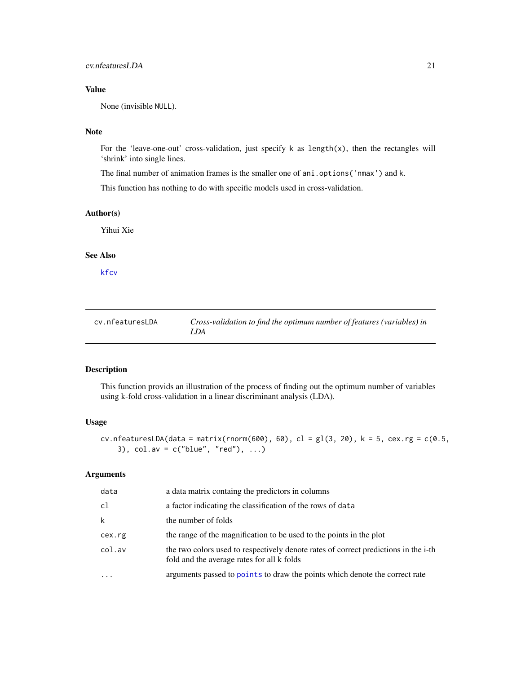### <span id="page-20-0"></span>Value

None (invisible NULL).

### Note

For the 'leave-one-out' cross-validation, just specify  $k$  as length $(x)$ , then the rectangles will 'shrink' into single lines.

The final number of animation frames is the smaller one of ani.options('nmax') and k.

This function has nothing to do with specific models used in cross-validation.

#### Author(s)

Yihui Xie

### See Also

[kfcv](#page-30-1)

| cv.nfeaturesLDA | Cross-validation to find the optimum number of features (variables) in |
|-----------------|------------------------------------------------------------------------|
|                 | LDA                                                                    |

### Description

This function provids an illustration of the process of finding out the optimum number of variables using k-fold cross-validation in a linear discriminant analysis (LDA).

### Usage

```
cv.nfeaturesLDA(data = matrix(rnorm(600), 60), cl = gl(3, 20), k = 5, cex.rg = c(0.5,
    3), col.av = c("blue", "red"), ...
```
### Arguments

| data      | a data matrix containg the predictors in columns                                                                                  |
|-----------|-----------------------------------------------------------------------------------------------------------------------------------|
| cl        | a factor indicating the classification of the rows of data                                                                        |
| k         | the number of folds                                                                                                               |
| cex.rg    | the range of the magnification to be used to the points in the plot                                                               |
| col.av    | the two colors used to respectively denote rates of correct predictions in the i-th<br>fold and the average rates for all k folds |
| $\ddotsc$ | arguments passed to points to draw the points which denote the correct rate                                                       |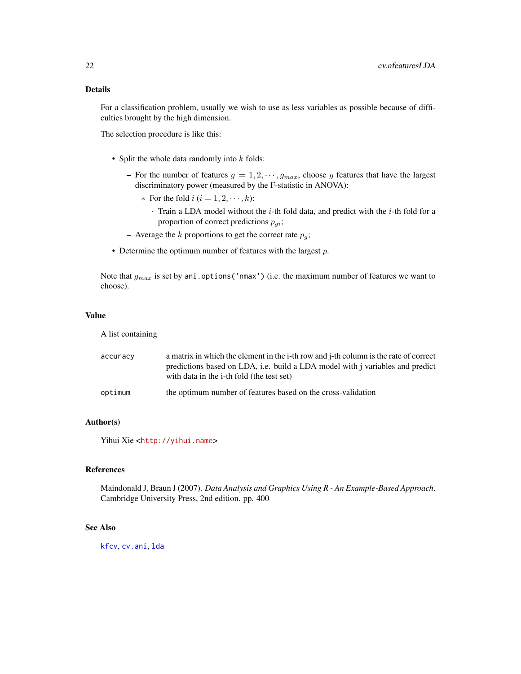### <span id="page-21-0"></span>Details

For a classification problem, usually we wish to use as less variables as possible because of difficulties brought by the high dimension.

The selection procedure is like this:

- Split the whole data randomly into  $k$  folds:
	- For the number of features  $g = 1, 2, \dots, g_{max}$ , choose g features that have the largest discriminatory power (measured by the F-statistic in ANOVA):
		- \* For the fold  $i$   $(i = 1, 2, \dots, k)$ :
			- $\cdot$  Train a LDA model without the *i*-th fold data, and predict with the *i*-th fold for a proportion of correct predictions  $p_{gi}$ ;
	- Average the k proportions to get the correct rate  $p_q$ ;
- Determine the optimum number of features with the largest  $p$ .

Note that  $g_{max}$  is set by ani.options('nmax') (i.e. the maximum number of features we want to choose).

### Value

A list containing

| accuracy | a matrix in which the element in the i-th row and j-th column is the rate of correct<br>predictions based on LDA, i.e. build a LDA model with j variables and predict<br>with data in the i-th fold (the test set) |
|----------|--------------------------------------------------------------------------------------------------------------------------------------------------------------------------------------------------------------------|
| optimum  | the optimum number of features based on the cross-validation                                                                                                                                                       |

#### Author(s)

Yihui Xie <<http://yihui.name>>

#### References

Maindonald J, Braun J (2007). *Data Analysis and Graphics Using R - An Example-Based Approach*. Cambridge University Press, 2nd edition. pp. 400

#### See Also

[kfcv](#page-30-1), [cv.ani](#page-19-1), [lda](#page-0-0)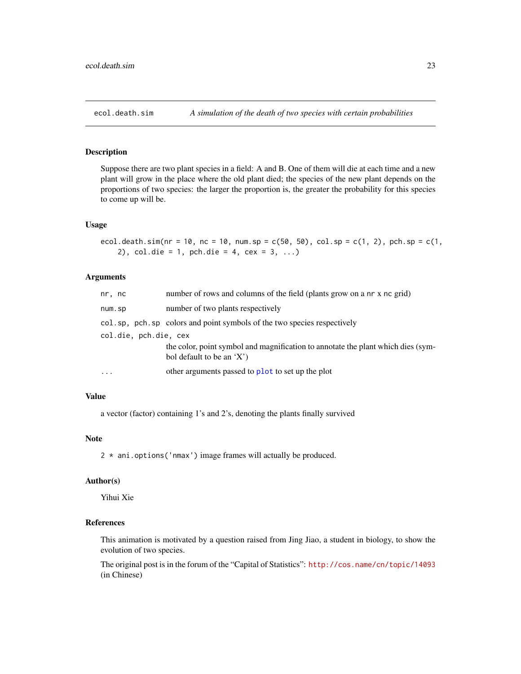<span id="page-22-0"></span>

Suppose there are two plant species in a field: A and B. One of them will die at each time and a new plant will grow in the place where the old plant died; the species of the new plant depends on the proportions of two species: the larger the proportion is, the greater the probability for this species to come up will be.

### Usage

```
ecol.death.sim(nr = 10, nc = 10, num(sp = c(50, 50), col(sp = c(1, 2), pch(sp = c(1, 1))2), col.die = 1, pch.die = 4, cex = 3, ...)
```
### Arguments

| nr, nc                | number of rows and columns of the field (plants grow on a nr x nc grid)                                       |
|-----------------------|---------------------------------------------------------------------------------------------------------------|
| num.sp                | number of two plants respectively                                                                             |
|                       | col.sp, pch.sp colors and point symbols of the two species respectively                                       |
| col.die, pch.die, cex |                                                                                                               |
|                       | the color, point symbol and magnification to annotate the plant which dies (sym-<br>bol default to be an 'X') |
| .                     | other arguments passed to plot to set up the plot                                                             |

#### Value

a vector (factor) containing 1's and 2's, denoting the plants finally survived

### Note

2 \* ani.options('nmax') image frames will actually be produced.

#### Author(s)

Yihui Xie

#### References

This animation is motivated by a question raised from Jing Jiao, a student in biology, to show the evolution of two species.

The original post is in the forum of the "Capital of Statistics": <http://cos.name/cn/topic/14093> (in Chinese)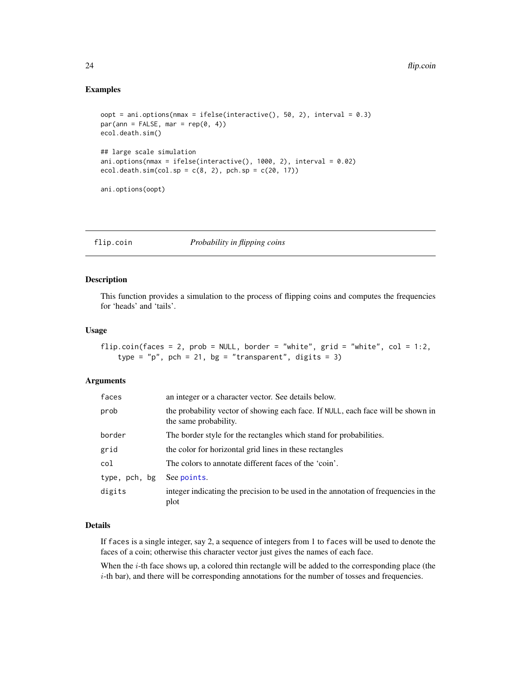### Examples

```
oopt = ani.options(mmax = ifelse(interactive(), 50, 2), interval = 0.3)par(ann = FALSE, mar = rep(0, 4))ecol.death.sim()
## large scale simulation
ani.options(nmax = ifelse(interactive(), 1000, 2), interval = 0.02)
ecol.death.sim(col.sp = c(8, 2), pch.sp = c(20, 17))
ani.options(oopt)
```
<span id="page-23-1"></span>flip.coin *Probability in flipping coins*

### Description

This function provides a simulation to the process of flipping coins and computes the frequencies for 'heads' and 'tails'.

#### Usage

```
flip.coin(faces = 2, prob = NULL, border = "white", grid = "white", col = 1:2,
   type = "p", pch = 21, bg = "transparent", digits = 3)
```
#### Arguments

| faces         | an integer or a character vector. See details below.                                                      |
|---------------|-----------------------------------------------------------------------------------------------------------|
| prob          | the probability vector of showing each face. If NULL, each face will be shown in<br>the same probability. |
| border        | The border style for the rectangles which stand for probabilities.                                        |
| grid          | the color for horizontal grid lines in these rectangles                                                   |
| col           | The colors to annotate different faces of the 'coin'.                                                     |
| type, pch, bg | See points.                                                                                               |
| digits        | integer indicating the precision to be used in the annotation of frequencies in the<br>plot               |

#### Details

If faces is a single integer, say 2, a sequence of integers from 1 to faces will be used to denote the faces of a coin; otherwise this character vector just gives the names of each face.

When the  $i$ -th face shows up, a colored thin rectangle will be added to the corresponding place (the  $i$ -th bar), and there will be corresponding annotations for the number of tosses and frequencies.

<span id="page-23-0"></span>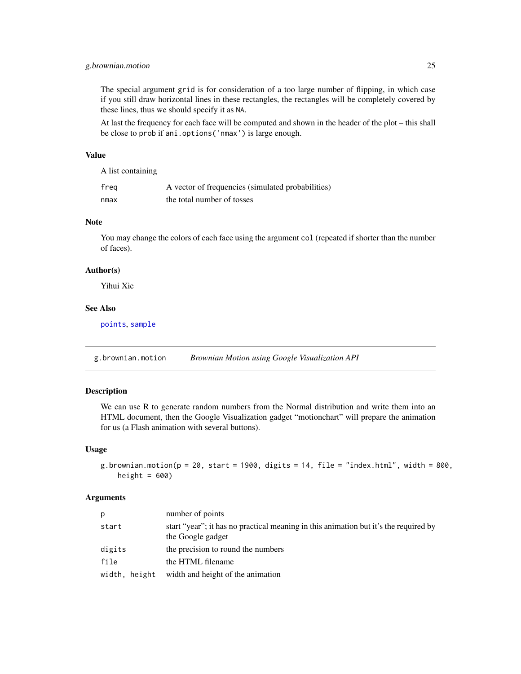### <span id="page-24-0"></span>g.brownian.motion 25

The special argument grid is for consideration of a too large number of flipping, in which case if you still draw horizontal lines in these rectangles, the rectangles will be completely covered by these lines, thus we should specify it as NA.

At last the frequency for each face will be computed and shown in the header of the plot – this shall be close to prob if ani.options('nmax') is large enough.

#### Value

A list containing

| freg | A vector of frequencies (simulated probabilities) |
|------|---------------------------------------------------|
| nmax | the total number of tosses                        |

### Note

You may change the colors of each face using the argument col (repeated if shorter than the number of faces).

#### Author(s)

Yihui Xie

### See Also

[points](#page-0-0), [sample](#page-0-0)

g.brownian.motion *Brownian Motion using Google Visualization API*

#### Description

We can use R to generate random numbers from the Normal distribution and write them into an HTML document, then the Google Visualization gadget "motionchart" will prepare the animation for us (a Flash animation with several buttons).

#### Usage

```
g.brownian.motion(p = 20, start = 1900, digits = 14, file = "index.html", width = 800,
    height = 600)
```
#### Arguments

| p             | number of points                                                                                          |
|---------------|-----------------------------------------------------------------------------------------------------------|
| start         | start "year"; it has no practical meaning in this animation but it's the required by<br>the Google gadget |
| digits        | the precision to round the numbers                                                                        |
| file          | the HTML filename                                                                                         |
| width, height | width and height of the animation                                                                         |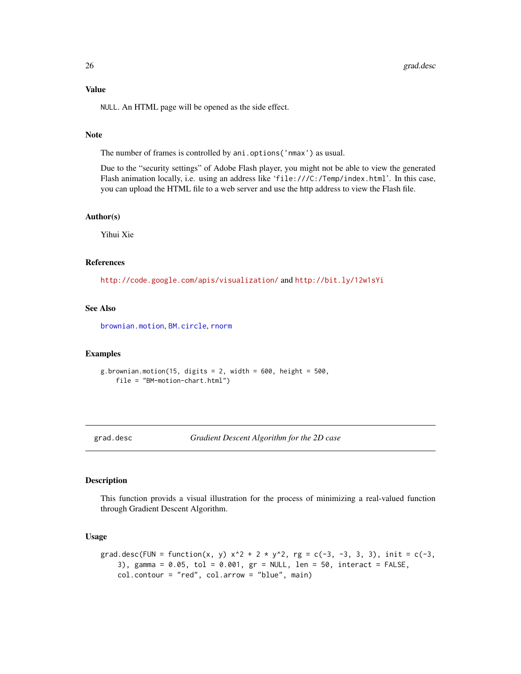<span id="page-25-0"></span>Value

NULL. An HTML page will be opened as the side effect.

### Note

The number of frames is controlled by ani.options('nmax') as usual.

Due to the "security settings" of Adobe Flash player, you might not be able to view the generated Flash animation locally, i.e. using an address like 'file:///C:/Temp/index.html'. In this case, you can upload the HTML file to a web server and use the http address to view the Flash file.

#### Author(s)

Yihui Xie

### References

<http://code.google.com/apis/visualization/> and <http://bit.ly/12w1sYi>

### See Also

[brownian.motion](#page-14-1), [BM.circle](#page-11-1), [rnorm](#page-0-0)

#### Examples

```
g.brownian.motion(15, digits = 2, width = 600, height = 500,
    file = "BM-motion-chart.html")
```
grad.desc *Gradient Descent Algorithm for the 2D case*

#### Description

This function provids a visual illustration for the process of minimizing a real-valued function through Gradient Descent Algorithm.

#### Usage

```
grad.desc(FUN = function(x, y) x^2 + 2 \times y^2, rg = c(-3, -3, 3, 3), init = c(-3,
    3), gamma = 0.05, tol = 0.001, gr = NULL, len = 50, interact = FALSE,
    col.contour = "red", col.arrow = "blue", main)
```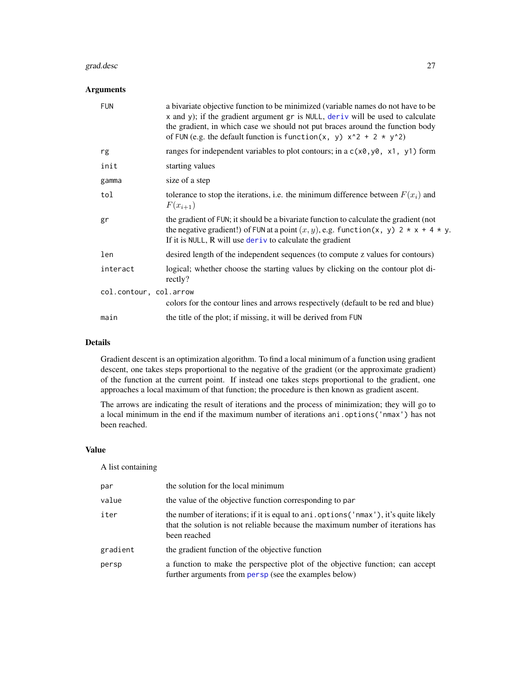#### <span id="page-26-0"></span>grad.desc 27

### Arguments

| <b>FUN</b>             | a bivariate objective function to be minimized (variable names do not have to be<br>x and y); if the gradient argument gr is NULL, deriv will be used to calculate<br>the gradient, in which case we should not put braces around the function body<br>of FUN (e.g. the default function is function(x, y) $x^2 + 2 \times y^2$ ) |
|------------------------|-----------------------------------------------------------------------------------------------------------------------------------------------------------------------------------------------------------------------------------------------------------------------------------------------------------------------------------|
| rg                     | ranges for independent variables to plot contours; in a $c(x0, y0, x1, y1)$ form                                                                                                                                                                                                                                                  |
| init                   | starting values                                                                                                                                                                                                                                                                                                                   |
| gamma                  | size of a step                                                                                                                                                                                                                                                                                                                    |
| tol                    | tolerance to stop the iterations, i.e. the minimum difference between $F(x_i)$ and<br>$F(x_{i+1})$                                                                                                                                                                                                                                |
| gr                     | the gradient of FUN; it should be a bivariate function to calculate the gradient (not<br>the negative gradient!) of FUN at a point $(x, y)$ , e.g. function(x, y) $2 \times x + 4 \times y$ .<br>If it is NULL, R will use $deriv$ to calculate the gradient                                                                      |
| len                    | desired length of the independent sequences (to compute z values for contours)                                                                                                                                                                                                                                                    |
| interact               | logical; whether choose the starting values by clicking on the contour plot di-<br>rectly?                                                                                                                                                                                                                                        |
| col.contour, col.arrow | colors for the contour lines and arrows respectively (default to be red and blue)                                                                                                                                                                                                                                                 |
| main                   | the title of the plot; if missing, it will be derived from FUN                                                                                                                                                                                                                                                                    |

### Details

Gradient descent is an optimization algorithm. To find a local minimum of a function using gradient descent, one takes steps proportional to the negative of the gradient (or the approximate gradient) of the function at the current point. If instead one takes steps proportional to the gradient, one approaches a local maximum of that function; the procedure is then known as gradient ascent.

The arrows are indicating the result of iterations and the process of minimization; they will go to a local minimum in the end if the maximum number of iterations ani.options('nmax') has not been reached.

#### Value

#### A list containing

| par      | the solution for the local minimum                                                                                                                                                     |
|----------|----------------------------------------------------------------------------------------------------------------------------------------------------------------------------------------|
| value    | the value of the objective function corresponding to par                                                                                                                               |
| iter     | the number of iterations; if it is equal to ani. options ('nmax'), it's quite likely<br>that the solution is not reliable because the maximum number of iterations has<br>been reached |
| gradient | the gradient function of the objective function                                                                                                                                        |
| persp    | a function to make the perspective plot of the objective function; can accept<br>further arguments from persp (see the examples below)                                                 |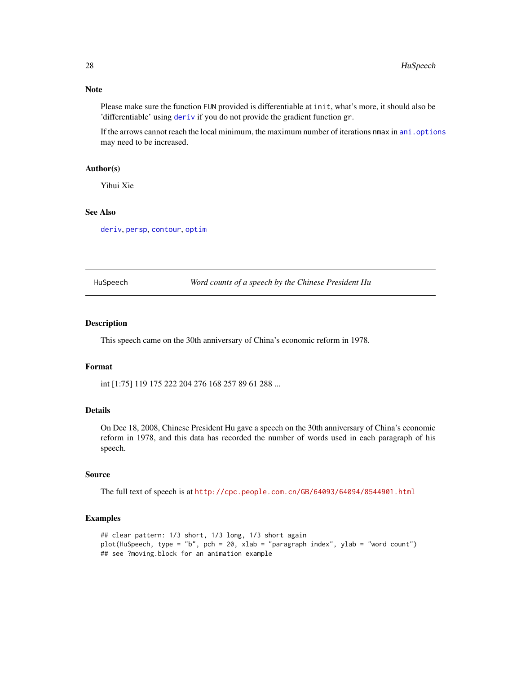Please make sure the function FUN provided is differentiable at init, what's more, it should also be 'differentiable' using [deriv](#page-0-0) if you do not provide the gradient function gr.

If the arrows cannot reach the local minimum, the maximum number of iterations nmax in [ani.options](#page-4-1) may need to be increased.

#### Author(s)

Yihui Xie

### See Also

[deriv](#page-0-0), [persp](#page-0-0), [contour](#page-0-0), [optim](#page-0-0)

HuSpeech *Word counts of a speech by the Chinese President Hu*

#### Description

This speech came on the 30th anniversary of China's economic reform in 1978.

#### Format

int [1:75] 119 175 222 204 276 168 257 89 61 288 ...

### Details

On Dec 18, 2008, Chinese President Hu gave a speech on the 30th anniversary of China's economic reform in 1978, and this data has recorded the number of words used in each paragraph of his speech.

### Source

The full text of speech is at <http://cpc.people.com.cn/GB/64093/64094/8544901.html>

#### Examples

```
## clear pattern: 1/3 short, 1/3 long, 1/3 short again
plot(HuSpeech, type = "b", pch = 20, xlab = "paragraph index", ylab = "word count")
## see ?moving.block for an animation example
```
<span id="page-27-0"></span>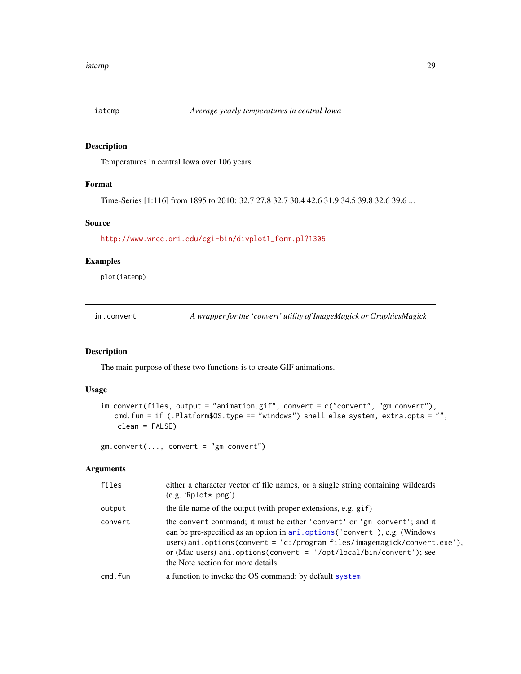<span id="page-28-0"></span>

Temperatures in central Iowa over 106 years.

### Format

Time-Series [1:116] from 1895 to 2010: 32.7 27.8 32.7 30.4 42.6 31.9 34.5 39.8 32.6 39.6 ...

### Source

[http://www.wrcc.dri.edu/cgi-bin/divplot1\\_form.pl?1305](http://www.wrcc.dri.edu/cgi-bin/divplot1_form.pl?1305)

### Examples

plot(iatemp)

<span id="page-28-1"></span>im.convert *A wrapper for the 'convert' utility of ImageMagick or GraphicsMagick*

### <span id="page-28-2"></span>Description

The main purpose of these two functions is to create GIF animations.

### Usage

```
im.convert(files, output = "animation.gif", convert = c("convert", "gm convert"),
   cmd.fun = if (.Platform$OS.type == "windows") shell else system, extra.opts = "",
   clean = FALSE)
```
 $gm.convert(..., convert = "gm convert")$ 

### Arguments

| files   | either a character vector of file names, or a single string containing wildcards<br>$(e.g. 'Rplot*.png')$                                                                                                                                                                                                                                            |
|---------|------------------------------------------------------------------------------------------------------------------------------------------------------------------------------------------------------------------------------------------------------------------------------------------------------------------------------------------------------|
| output  | the file name of the output (with proper extensions, e.g. gif)                                                                                                                                                                                                                                                                                       |
| convert | the convert command; it must be either 'convert' or 'gm convert'; and it<br>can be pre-specified as an option in ani.options ('convert'), e.g. (Windows<br>users) ani.options(convert = 'c:/program files/imagemagick/convert.exe'),<br>or (Mac users) ani.options (convert = $'/opt/local/bin/convert')$ ; see<br>the Note section for more details |
| cmd.fun | a function to invoke the OS command; by default system                                                                                                                                                                                                                                                                                               |
|         |                                                                                                                                                                                                                                                                                                                                                      |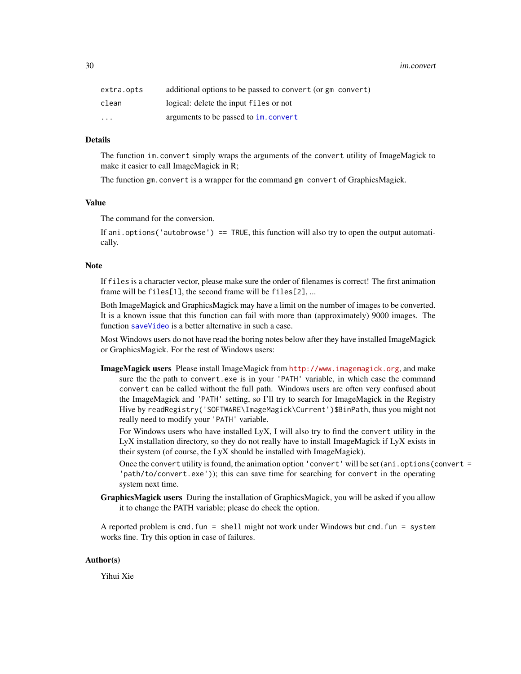<span id="page-29-0"></span>30 im.convert

| extra.opts | additional options to be passed to convert (or gm convert) |
|------------|------------------------------------------------------------|
| clean      | logical: delete the input files or not                     |
| $\cdots$   | arguments to be passed to im. convert                      |

### Details

The function im.convert simply wraps the arguments of the convert utility of ImageMagick to make it easier to call ImageMagick in R;

The function gm.convert is a wrapper for the command gm convert of GraphicsMagick.

### Value

The command for the conversion.

If ani.options('autobrowse') == TRUE, this function will also try to open the output automatically.

#### **Note**

If files is a character vector, please make sure the order of filenames is correct! The first animation frame will be files[1], the second frame will be files[2], ...

Both ImageMagick and GraphicsMagick may have a limit on the number of images to be converted. It is a known issue that this function can fail with more than (approximately) 9000 images. The function [saveVideo](#page-60-1) is a better alternative in such a case.

Most Windows users do not have read the boring notes below after they have installed ImageMagick or GraphicsMagick. For the rest of Windows users:

ImageMagick users Please install ImageMagick from <http://www.imagemagick.org>, and make sure the the path to convert.exe is in your 'PATH' variable, in which case the command convert can be called without the full path. Windows users are often very confused about the ImageMagick and 'PATH' setting, so I'll try to search for ImageMagick in the Registry Hive by readRegistry('SOFTWARE\ImageMagick\Current')\$BinPath, thus you might not really need to modify your 'PATH' variable.

For Windows users who have installed LyX, I will also try to find the convert utility in the LyX installation directory, so they do not really have to install ImageMagick if LyX exists in their system (of course, the LyX should be installed with ImageMagick).

Once the convert utility is found, the animation option 'convert' will be set (ani.options(convert = 'path/to/convert.exe')); this can save time for searching for convert in the operating system next time.

GraphicsMagick users During the installation of GraphicsMagick, you will be asked if you allow it to change the PATH variable; please do check the option.

A reported problem is cmd.fun = shell might not work under Windows but cmd.fun = system works fine. Try this option in case of failures.

### Author(s)

Yihui Xie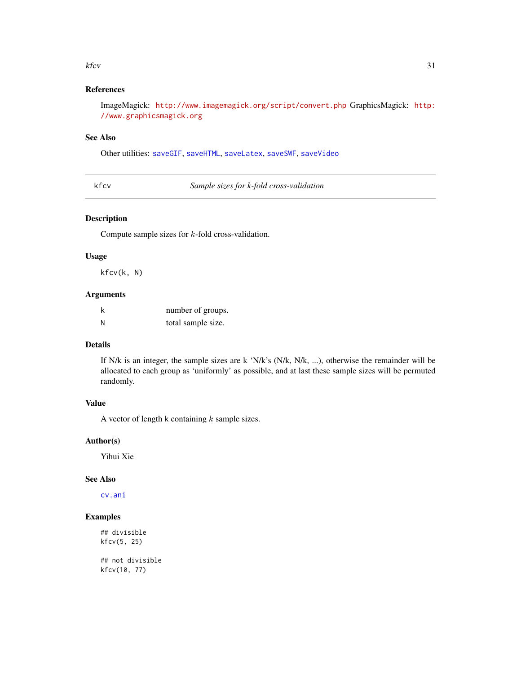#### <span id="page-30-0"></span> $k$ fcv $\frac{31}{2}$

### References

ImageMagick: <http://www.imagemagick.org/script/convert.php> GraphicsMagick: [http:](http://www.graphicsmagick.org) [//www.graphicsmagick.org](http://www.graphicsmagick.org)

### See Also

Other utilities: [saveGIF](#page-53-1), [saveHTML](#page-55-1), [saveLatex](#page-57-1), [saveSWF](#page-59-1), [saveVideo](#page-60-1)

<span id="page-30-1"></span>

| × |
|---|
|---|

Sample sizes for k-fold cross-validation

#### Description

Compute sample sizes for  $k$ -fold cross-validation.

#### Usage

kfcv(k, N)

### Arguments

| k | number of groups.  |
|---|--------------------|
| Ν | total sample size. |

### Details

If N/k is an integer, the sample sizes are k 'N/k's (N/k, N/k, ...), otherwise the remainder will be allocated to each group as 'uniformly' as possible, and at last these sample sizes will be permuted randomly.

### Value

A vector of length  $k$  containing  $k$  sample sizes.

### Author(s)

Yihui Xie

### See Also

[cv.ani](#page-19-1)

### Examples

## divisible kfcv(5, 25)

## not divisible kfcv(10, 77)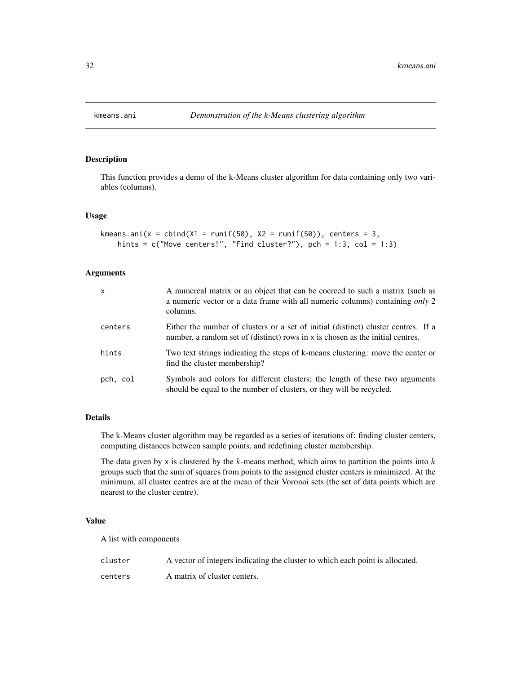<span id="page-31-1"></span><span id="page-31-0"></span>

This function provides a demo of the k-Means cluster algorithm for data containing only two variables (columns).

### Usage

```
kmeans.ani(x = cbind(X1 = runif(50), X2 = runif(50)), centers = 3,
   hints = c("Move centers!", "Find cluster?"), pch = 1:3, col = 1:3)
```
### Arguments

| $\mathsf{x}$ | A numercal matrix or an object that can be coerced to such a matrix (such as<br>a numeric vector or a data frame with all numeric columns) containing only 2<br>columns. |
|--------------|--------------------------------------------------------------------------------------------------------------------------------------------------------------------------|
| centers      | Either the number of clusters or a set of initial (distinct) cluster centres. If a<br>number, a random set of (distinct) rows in x is chosen as the initial centres.     |
| hints        | Two text strings indicating the steps of k-means clustering: move the center or<br>find the cluster membership?                                                          |
| pch, col     | Symbols and colors for different clusters; the length of these two arguments<br>should be equal to the number of clusters, or they will be recycled.                     |

### Details

The k-Means cluster algorithm may be regarded as a series of iterations of: finding cluster centers, computing distances between sample points, and redefining cluster membership.

The data given by x is clustered by the  $k$ -means method, which aims to partition the points into  $k$ groups such that the sum of squares from points to the assigned cluster centers is minimized. At the minimum, all cluster centres are at the mean of their Voronoi sets (the set of data points which are nearest to the cluster centre).

### Value

A list with components

| cluster | A vector of integers indicating the cluster to which each point is allocated. |
|---------|-------------------------------------------------------------------------------|
| centers | A matrix of cluster centers.                                                  |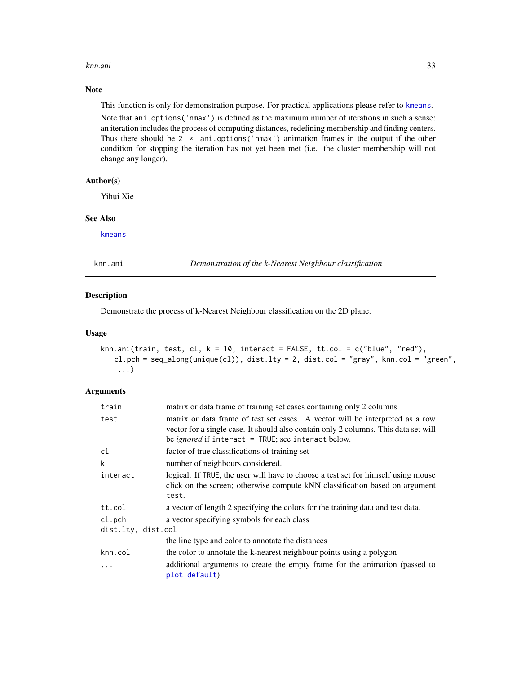#### <span id="page-32-0"></span>knn.ani 33

#### Note

This function is only for demonstration purpose. For practical applications please refer to [kmeans](#page-0-0).

Note that ani.options('nmax') is defined as the maximum number of iterations in such a sense: an iteration includes the process of computing distances, redefining membership and finding centers. Thus there should be 2  $*$  ani.options('nmax') animation frames in the output if the other condition for stopping the iteration has not yet been met (i.e. the cluster membership will not change any longer).

#### Author(s)

Yihui Xie

#### See Also

[kmeans](#page-0-0)

<span id="page-32-1"></span>

knn.ani *Demonstration of the k-Nearest Neighbour classification*

### Description

Demonstrate the process of k-Nearest Neighbour classification on the 2D plane.

#### Usage

```
knn.ani(train, test, cl, k = 10, interact = FALSE, tt.col = c("blue", "red"),
   cl.pch = seq_along(unique(cl)), dist.lty = 2, dist,col = "gray", knn,col = "green",...)
```
### Arguments

| train              | matrix or data frame of training set cases containing only 2 columns                                                                                                                                                              |
|--------------------|-----------------------------------------------------------------------------------------------------------------------------------------------------------------------------------------------------------------------------------|
| test               | matrix or data frame of test set cases. A vector will be interpreted as a row<br>vector for a single case. It should also contain only 2 columns. This data set will<br>be <i>ignored</i> if interact = TRUE; see interact below. |
| cl                 | factor of true classifications of training set                                                                                                                                                                                    |
| k                  | number of neighbours considered.                                                                                                                                                                                                  |
| interact           | logical. If TRUE, the user will have to choose a test set for himself using mouse<br>click on the screen; otherwise compute kNN classification based on argument<br>test.                                                         |
| tt.col             | a vector of length 2 specifying the colors for the training data and test data.                                                                                                                                                   |
| $cl.$ pch          | a vector specifying symbols for each class                                                                                                                                                                                        |
| dist.lty, dist.col |                                                                                                                                                                                                                                   |
|                    | the line type and color to annotate the distances                                                                                                                                                                                 |
| knn.col            | the color to annotate the k-nearest neighbour points using a polygon                                                                                                                                                              |
| $\ddots$           | additional arguments to create the empty frame for the animation (passed to<br>plot.default)                                                                                                                                      |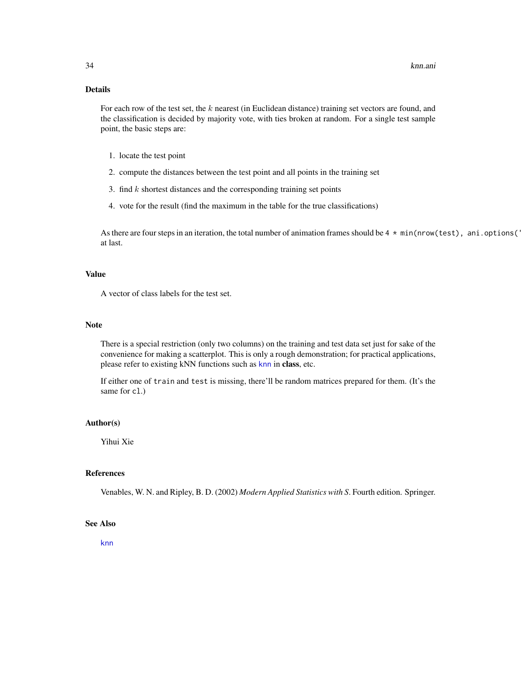### <span id="page-33-0"></span>Details

For each row of the test set, the k nearest (in Euclidean distance) training set vectors are found, and the classification is decided by majority vote, with ties broken at random. For a single test sample point, the basic steps are:

- 1. locate the test point
- 2. compute the distances between the test point and all points in the training set
- 3. find  $k$  shortest distances and the corresponding training set points
- 4. vote for the result (find the maximum in the table for the true classifications)

As there are four steps in an iteration, the total number of animation frames should be  $4 * min(nrow(test), ani.options()$ at last.

#### Value

A vector of class labels for the test set.

#### Note

There is a special restriction (only two columns) on the training and test data set just for sake of the convenience for making a scatterplot. This is only a rough demonstration; for practical applications, please refer to existing kNN functions such as [knn](#page-0-0) in class, etc.

If either one of train and test is missing, there'll be random matrices prepared for them. (It's the same for cl.)

### Author(s)

Yihui Xie

### References

Venables, W. N. and Ripley, B. D. (2002) *Modern Applied Statistics with S*. Fourth edition. Springer.

### See Also

[knn](#page-0-0)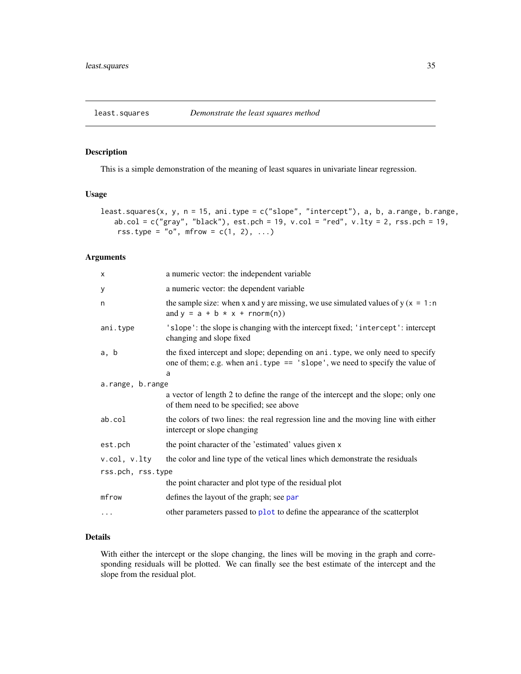<span id="page-34-0"></span>

This is a simple demonstration of the meaning of least squares in univariate linear regression.

#### Usage

```
least.squares(x, y, n = 15, ani.type = c("slope", "intercept"), a, b, a.range, b.range,
   ab.col = c("gray", "black"), est. pch = 19, v. col = "red", v. lty = 2, rss. pch = 19,rss.type = "o", mfrow = c(1, 2), ...)
```
### Arguments

| $\times$          | a numeric vector: the independent variable                                                                                                                           |  |
|-------------------|----------------------------------------------------------------------------------------------------------------------------------------------------------------------|--|
| У                 | a numeric vector: the dependent variable                                                                                                                             |  |
| n                 | the sample size: when x and y are missing, we use simulated values of $y(x = 1:n)$<br>and $y = a + b * x + \text{norm}(n)$                                           |  |
| ani.type          | 'slope': the slope is changing with the intercept fixed; 'intercept': intercept<br>changing and slope fixed                                                          |  |
| a, b              | the fixed intercept and slope; depending on ani. type, we only need to specify<br>one of them; e.g. when ani.type $==$ 'slope', we need to specify the value of<br>a |  |
| a.range, b.range  |                                                                                                                                                                      |  |
|                   | a vector of length 2 to define the range of the intercept and the slope; only one<br>of them need to be specified; see above                                         |  |
| ab.col            | the colors of two lines: the real regression line and the moving line with either<br>intercept or slope changing                                                     |  |
| est.pch           | the point character of the 'estimated' values given x                                                                                                                |  |
| v.col, v.lty      | the color and line type of the vetical lines which demonstrate the residuals                                                                                         |  |
| rss.pch, rss.type |                                                                                                                                                                      |  |
|                   | the point character and plot type of the residual plot                                                                                                               |  |
| mfrow             | defines the layout of the graph; see par                                                                                                                             |  |
| $\cdots$          | other parameters passed to plot to define the appearance of the scatterplot                                                                                          |  |

### Details

With either the intercept or the slope changing, the lines will be moving in the graph and corresponding residuals will be plotted. We can finally see the best estimate of the intercept and the slope from the residual plot.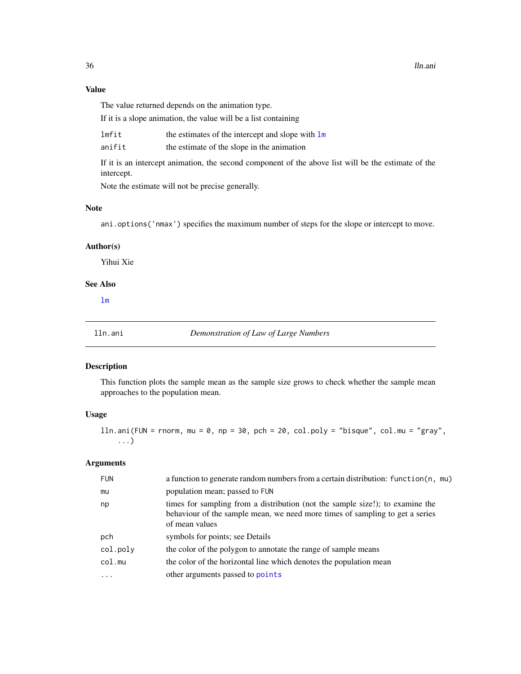### Value

The value returned depends on the animation type.

If it is a slope animation, the value will be a list containing

| lmfit | the estimates of the intercept and slope with lm |  |  |  |
|-------|--------------------------------------------------|--|--|--|
|       |                                                  |  |  |  |

anifit the estimate of the slope in the animation

If it is an intercept animation, the second component of the above list will be the estimate of the intercept.

Note the estimate will not be precise generally.

#### Note

ani.options('nmax') specifies the maximum number of steps for the slope or intercept to move.

### Author(s)

Yihui Xie

### See Also

[lm](#page-0-0)

lln.ani *Demonstration of Law of Large Numbers*

### Description

This function plots the sample mean as the sample size grows to check whether the sample mean approaches to the population mean.

### Usage

 $11n.$ ani(FUN = rnorm, mu = 0, np = 30, pch = 20, col.poly = "bisque", col.mu = "gray", ...)

### Arguments

| <b>FUN</b> | a function to generate random numbers from a certain distribution: $function(n, mu)$                                                                                            |
|------------|---------------------------------------------------------------------------------------------------------------------------------------------------------------------------------|
| mu         | population mean; passed to FUN                                                                                                                                                  |
| np         | times for sampling from a distribution (not the sample size!); to examine the<br>behaviour of the sample mean, we need more times of sampling to get a series<br>of mean values |
| pch        | symbols for points; see Details                                                                                                                                                 |
| col.poly   | the color of the polygon to annotate the range of sample means                                                                                                                  |
| col.mu     | the color of the horizontal line which denotes the population mean                                                                                                              |
| .          | other arguments passed to points                                                                                                                                                |

<span id="page-35-0"></span>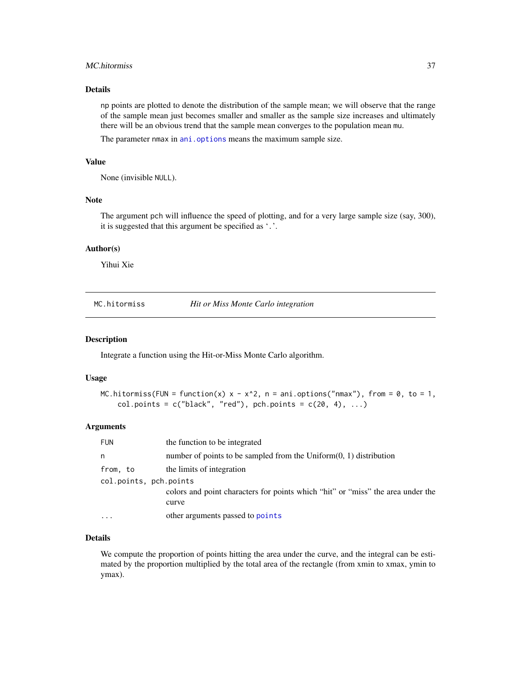### <span id="page-36-0"></span>MC.hitormiss 37

### Details

np points are plotted to denote the distribution of the sample mean; we will observe that the range of the sample mean just becomes smaller and smaller as the sample size increases and ultimately there will be an obvious trend that the sample mean converges to the population mean mu.

The parameter nmax in [ani.options](#page-4-1) means the maximum sample size.

#### Value

None (invisible NULL).

#### Note

The argument pch will influence the speed of plotting, and for a very large sample size (say, 300), it is suggested that this argument be specified as '.'.

#### Author(s)

Yihui Xie

<span id="page-36-1"></span>MC.hitormiss *Hit or Miss Monte Carlo integration*

#### Description

Integrate a function using the Hit-or-Miss Monte Carlo algorithm.

#### Usage

```
MC.hitormiss(FUN = function(x) x - x^2, n = ani.options("nmax"), from = 0, to = 1,
    col.points = c("black", "red"), pch.points = c(20, 4), ...)
```
#### Arguments

| <b>FUN</b>             | the function to be integrated                                                            |
|------------------------|------------------------------------------------------------------------------------------|
| n                      | number of points to be sampled from the Uniform $(0, 1)$ distribution                    |
| from, to               | the limits of integration                                                                |
| col.points, pch.points | colors and point characters for points which "hit" or "miss" the area under the<br>curve |
| .                      | other arguments passed to points                                                         |

### Details

We compute the proportion of points hitting the area under the curve, and the integral can be estimated by the proportion multiplied by the total area of the rectangle (from xmin to xmax, ymin to ymax).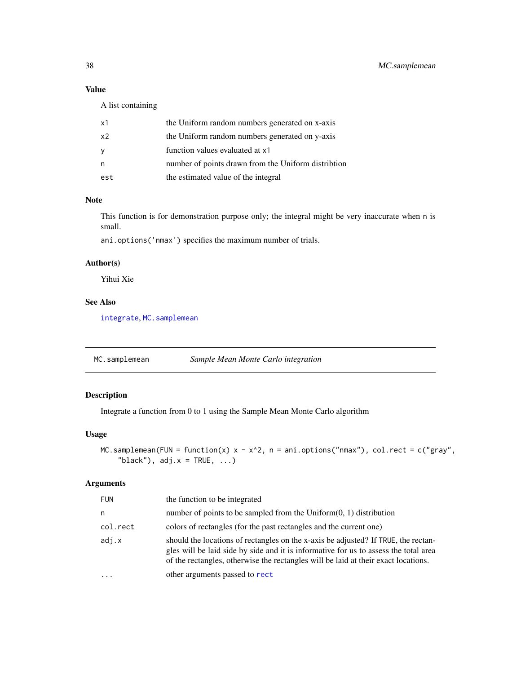### <span id="page-37-0"></span>Value

A list containing

| x1  | the Uniform random numbers generated on x-axis      |
|-----|-----------------------------------------------------|
| x2  | the Uniform random numbers generated on y-axis      |
| y   | function values evaluated at x1                     |
| n   | number of points drawn from the Uniform distribtion |
| est | the estimated value of the integral                 |

#### Note

This function is for demonstration purpose only; the integral might be very inaccurate when n is small.

ani.options('nmax') specifies the maximum number of trials.

### Author(s)

Yihui Xie

### See Also

[integrate](#page-0-0), [MC.samplemean](#page-37-1)

<span id="page-37-1"></span>MC.samplemean *Sample Mean Monte Carlo integration*

### Description

Integrate a function from 0 to 1 using the Sample Mean Monte Carlo algorithm

### Usage

```
MC.samplemean(FUN = function(x) x - x^2, n = ani.options("nmax"), col.rect = c("gray",
    "black"), adj.x = TRUE, ...
```
#### Arguments

| <b>FUN</b> | the function to be integrated                                                                                                                                                                                                                                    |
|------------|------------------------------------------------------------------------------------------------------------------------------------------------------------------------------------------------------------------------------------------------------------------|
| n          | number of points to be sampled from the $Uniform(0, 1)$ distribution                                                                                                                                                                                             |
| col.rect   | colors of rectangles (for the past rectangles and the current one)                                                                                                                                                                                               |
| adj.x      | should the locations of rectangles on the x-axis be adjusted? If TRUE, the rectan-<br>gles will be laid side by side and it is informative for us to assess the total area<br>of the rectangles, otherwise the rectangles will be laid at their exact locations. |
|            | other arguments passed to rect                                                                                                                                                                                                                                   |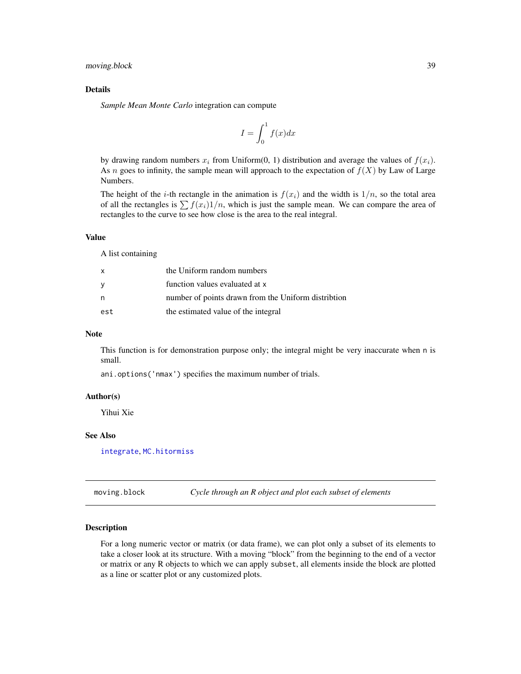#### <span id="page-38-0"></span>Details

*Sample Mean Monte Carlo* integration can compute

$$
I = \int_0^1 f(x) dx
$$

by drawing random numbers  $x_i$  from Uniform(0, 1) distribution and average the values of  $f(x_i)$ . As n goes to infinity, the sample mean will approach to the expectation of  $f(X)$  by Law of Large Numbers.

The height of the *i*-th rectangle in the animation is  $f(x_i)$  and the width is  $1/n$ , so the total area of all the rectangles is  $\sum f(x_i)1/n$ , which is just the sample mean. We can compare the area of rectangles to the curve to see how close is the area to the real integral.

#### Value

A list containing

|     | the Uniform random numbers                          |
|-----|-----------------------------------------------------|
|     | function values evaluated at x                      |
| n   | number of points drawn from the Uniform distribtion |
| est | the estimated value of the integral                 |
|     |                                                     |

#### Note

This function is for demonstration purpose only; the integral might be very inaccurate when n is small.

ani.options('nmax') specifies the maximum number of trials.

#### Author(s)

Yihui Xie

### See Also

[integrate](#page-0-0), [MC.hitormiss](#page-36-1)

moving.block *Cycle through an R object and plot each subset of elements*

#### Description

For a long numeric vector or matrix (or data frame), we can plot only a subset of its elements to take a closer look at its structure. With a moving "block" from the beginning to the end of a vector or matrix or any R objects to which we can apply subset, all elements inside the block are plotted as a line or scatter plot or any customized plots.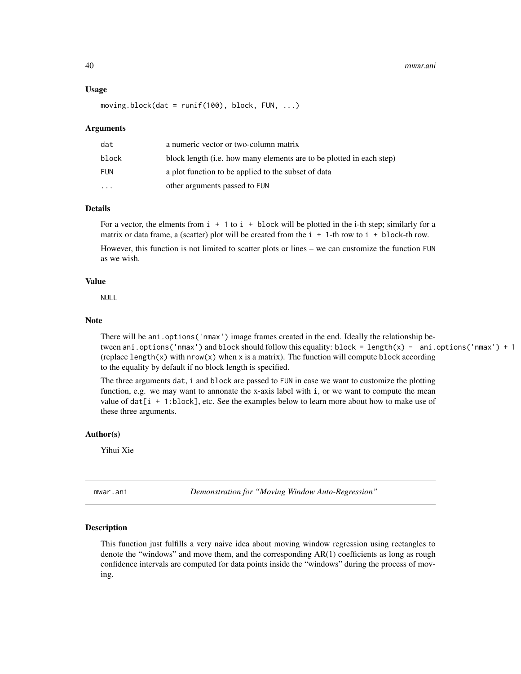#### 40 mwar.ani

#### Usage

```
moving.block(dat = runif(100), block, FUN, \ldots)
```
#### Arguments

| dat        | a numeric vector or two-column matrix                                |
|------------|----------------------------------------------------------------------|
| block      | block length (i.e. how many elements are to be plotted in each step) |
| <b>FUN</b> | a plot function to be applied to the subset of data                  |
| $\cdots$   | other arguments passed to FUN                                        |

#### Details

For a vector, the elments from  $i + 1$  to  $i + 1$  block will be plotted in the i-th step; similarly for a matrix or data frame, a (scatter) plot will be created from the  $i + 1$ -th row to  $i + 1$  hock-th row.

However, this function is not limited to scatter plots or lines – we can customize the function FUN as we wish.

### Value

NULL

#### Note

There will be ani.options('nmax') image frames created in the end. Ideally the relationship between ani.options('nmax') and block should follow this equality: block = length(x) - ani.options('nmax') + 1 (replace length(x) with  $nrow(x)$  when x is a matrix). The function will compute block according to the equality by default if no block length is specified.

The three arguments dat, i and block are passed to FUN in case we want to customize the plotting function, e.g. we may want to annonate the x-axis label with i, or we want to compute the mean value of  $dat[i + 1:block]$ , etc. See the examples below to learn more about how to make use of these three arguments.

#### Author(s)

Yihui Xie

mwar.ani *Demonstration for "Moving Window Auto-Regression"*

#### Description

This function just fulfills a very naive idea about moving window regression using rectangles to denote the "windows" and move them, and the corresponding AR(1) coefficients as long as rough confidence intervals are computed for data points inside the "windows" during the process of moving.

<span id="page-39-0"></span>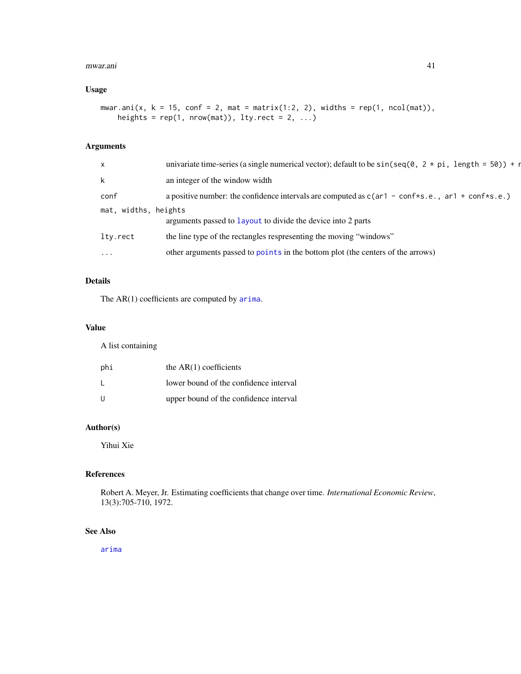#### <span id="page-40-0"></span>mwar.ani 41

### Usage

```
mwar.ani(x, k = 15, conf = 2, mat = matrix(1:2, 2), widths = rep(1, ncol(mat)),
   heights = rep(1, nrow(mat)), lty.rect = 2, ...)
```
### Arguments

| $\times$                         | univariate time-series (a single numerical vector); default to be $sin(seq(\theta, 2 * pi, length = 5\theta)) + r$ |
|----------------------------------|--------------------------------------------------------------------------------------------------------------------|
| k                                | an integer of the window width                                                                                     |
| conf                             | a positive number: the confidence intervals are computed as $c(ar1 - conf*s.e., ar1 + conf*s.e.)$                  |
| mat, widths, heights             | arguments passed to layout to divide the device into 2 parts                                                       |
| lty.rect                         | the line type of the rectangles respresenting the moving "windows"                                                 |
| $\bullet$ .<br><br><br>$\bullet$ | other arguments passed to points in the bottom plot (the centers of the arrows)                                    |
|                                  |                                                                                                                    |

### Details

The AR(1) coefficients are computed by [arima](#page-0-0).

### Value

A list containing

| phi          | the $AR(1)$ coefficients               |
|--------------|----------------------------------------|
| $\mathbf{I}$ | lower bound of the confidence interval |
| U            | upper bound of the confidence interval |

### Author(s)

Yihui Xie

### References

Robert A. Meyer, Jr. Estimating coefficients that change over time. *International Economic Review*, 13(3):705-710, 1972.

### See Also

[arima](#page-0-0)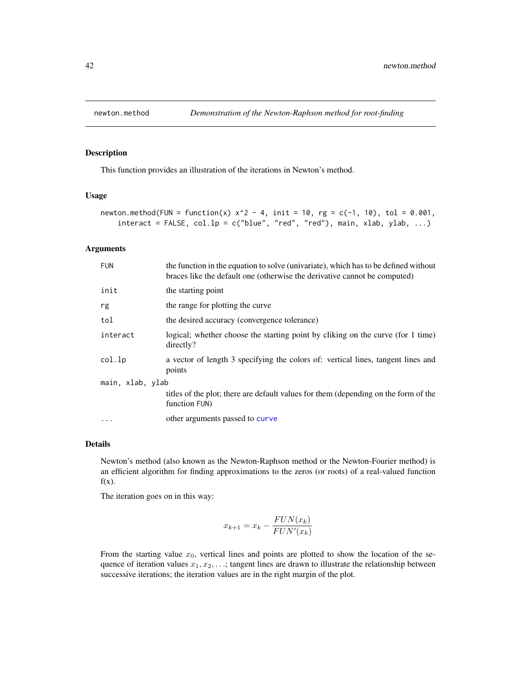<span id="page-41-1"></span><span id="page-41-0"></span>

This function provides an illustration of the iterations in Newton's method.

### Usage

```
newton.method(FUN = function(x) x^2 - 4, init = 10, rg = c(-1, 10), tol = 0.001,
    interact = FALSE, col.lp = c("blue", "red", "red"), main, xlab, ylab, ...)
```
#### Arguments

| <b>FUN</b>       | the function in the equation to solve (univariate), which has to be defined without<br>braces like the default one (otherwise the derivative cannot be computed) |
|------------------|------------------------------------------------------------------------------------------------------------------------------------------------------------------|
| init             | the starting point                                                                                                                                               |
| rg               | the range for plotting the curve                                                                                                                                 |
| tol              | the desired accuracy (convergence tolerance)                                                                                                                     |
| interact         | logical; whether choose the starting point by cliking on the curve (for 1 time)<br>directly?                                                                     |
| col.lp           | a vector of length 3 specifying the colors of: vertical lines, tangent lines and<br>points                                                                       |
| main, xlab, ylab |                                                                                                                                                                  |
|                  | titles of the plot; there are default values for them (depending on the form of the<br>function FUN)                                                             |
| $\cdots$         | other arguments passed to curve                                                                                                                                  |

#### Details

Newton's method (also known as the Newton-Raphson method or the Newton-Fourier method) is an efficient algorithm for finding approximations to the zeros (or roots) of a real-valued function  $f(x)$ .

The iteration goes on in this way:

$$
x_{k+1} = x_k - \frac{FUN(x_k)}{FUN'(x_k)}
$$

From the starting value  $x_0$ , vertical lines and points are plotted to show the location of the sequence of iteration values  $x_1, x_2, \ldots$ ; tangent lines are drawn to illustrate the relationship between successive iterations; the iteration values are in the right margin of the plot.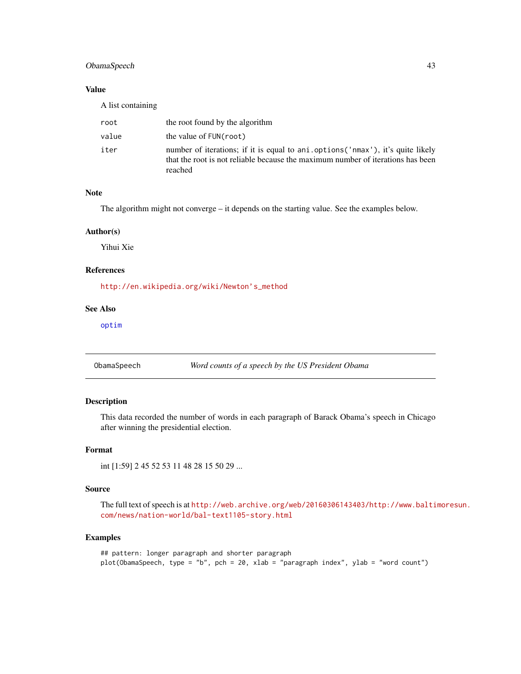### <span id="page-42-0"></span>ObamaSpeech 43

### Value

A list containing

| root  | the root found by the algorithm                                                                                                                                               |
|-------|-------------------------------------------------------------------------------------------------------------------------------------------------------------------------------|
| value | the value of FUN(root)                                                                                                                                                        |
| iter  | number of iterations; if it is equal to ani.options ('nmax'), it's quite likely<br>that the root is not reliable because the maximum number of iterations has been<br>reached |

### Note

The algorithm might not converge – it depends on the starting value. See the examples below.

#### Author(s)

Yihui Xie

### References

[http://en.wikipedia.org/wiki/Newton's\\_method](http://en.wikipedia.org/wiki/Newton)

### See Also

[optim](#page-0-0)

ObamaSpeech *Word counts of a speech by the US President Obama*

### Description

This data recorded the number of words in each paragraph of Barack Obama's speech in Chicago after winning the presidential election.

### Format

int [1:59] 2 45 52 53 11 48 28 15 50 29 ...

### Source

The full text of speech is at [http://web.archive.org/web/20160306143403/http://www.balti](http://web.archive.org/web/20160306143403/http://www.baltimoresun.com/news/nation-world/bal-text1105-story.html)moresun. [com/news/nation-world/bal-text1105-story.html](http://web.archive.org/web/20160306143403/http://www.baltimoresun.com/news/nation-world/bal-text1105-story.html)

### Examples

## pattern: longer paragraph and shorter paragraph plot(ObamaSpeech, type = "b", pch = 20, xlab = "paragraph index", ylab = "word count")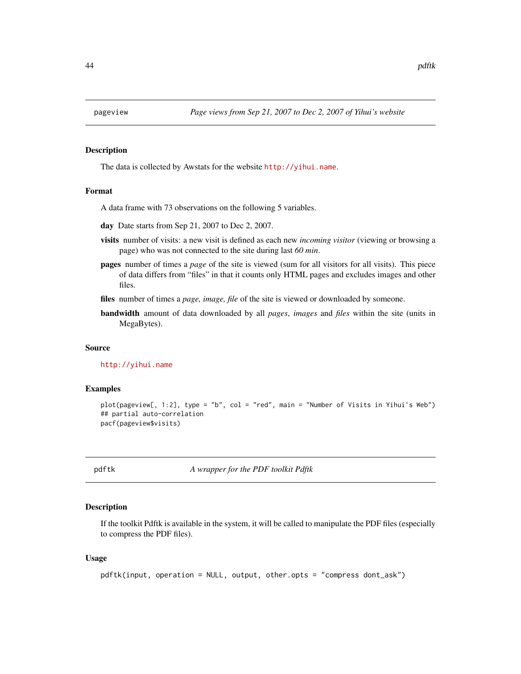<span id="page-43-0"></span>

The data is collected by Awstats for the website <http://yihui.name>.

### Format

A data frame with 73 observations on the following 5 variables.

day Date starts from Sep 21, 2007 to Dec 2, 2007.

- visits number of visits: a new visit is defined as each new *incoming visitor* (viewing or browsing a page) who was not connected to the site during last *60 min*.
- pages number of times a *page* of the site is viewed (sum for all visitors for all visits). This piece of data differs from "files" in that it counts only HTML pages and excludes images and other files.
- files number of times a *page, image, file* of the site is viewed or downloaded by someone.
- bandwidth amount of data downloaded by all *pages*, *images* and *files* within the site (units in MegaBytes).

#### Source

<http://yihui.name>

#### Examples

```
plot(pageview[, 1:2], type = "b", col = "red", main = "Number of Visits in Yihui's Web")
## partial auto-correlation
pacf(pageview$visits)
```
<span id="page-43-1"></span>pdftk *A wrapper for the PDF toolkit Pdftk*

#### Description

If the toolkit Pdftk is available in the system, it will be called to manipulate the PDF files (especially to compress the PDF files).

#### Usage

```
pdftk(input, operation = NULL, output, other.opts = "compress dont_ask")
```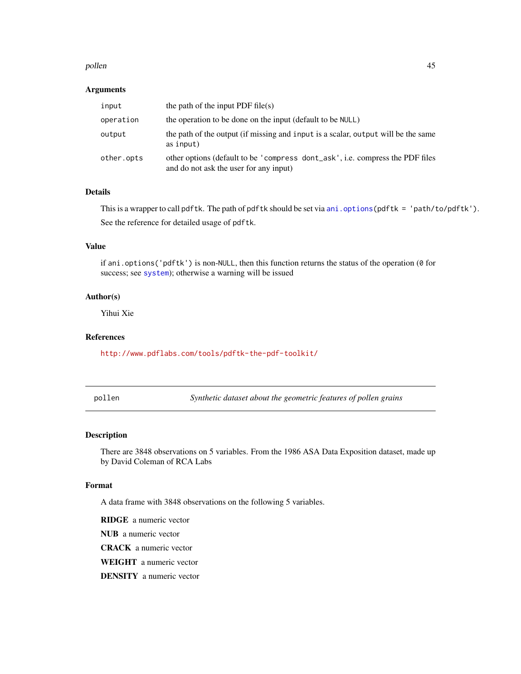#### <span id="page-44-0"></span>pollen and the set of the set of the set of the set of the set of the set of the set of the set of the set of the set of the set of the set of the set of the set of the set of the set of the set of the set of the set of th

### Arguments

| input      | the path of the input PDF file(s)                                                                                       |
|------------|-------------------------------------------------------------------------------------------------------------------------|
| operation  | the operation to be done on the input (default to be NULL)                                                              |
| output     | the path of the output (if missing and input is a scalar, output will be the same<br>as input)                          |
| other.opts | other options (default to be 'compress dont_ask', i.e. compress the PDF files<br>and do not ask the user for any input) |

### Details

This is a wrapper to call pdftk. The path of pdftk should be set via [ani.options\(](#page-4-1)pdftk = 'path/to/pdftk'). See the reference for detailed usage of pdftk.

### Value

if ani.options('pdftk') is non-NULL, then this function returns the status of the operation (0 for success; see [system](#page-0-0)); otherwise a warning will be issued

### Author(s)

Yihui Xie

### References

<http://www.pdflabs.com/tools/pdftk-the-pdf-toolkit/>

pollen *Synthetic dataset about the geometric features of pollen grains*

### Description

There are 3848 observations on 5 variables. From the 1986 ASA Data Exposition dataset, made up by David Coleman of RCA Labs

#### Format

A data frame with 3848 observations on the following 5 variables.

RIDGE a numeric vector NUB a numeric vector CRACK a numeric vector WEIGHT a numeric vector DENSITY a numeric vector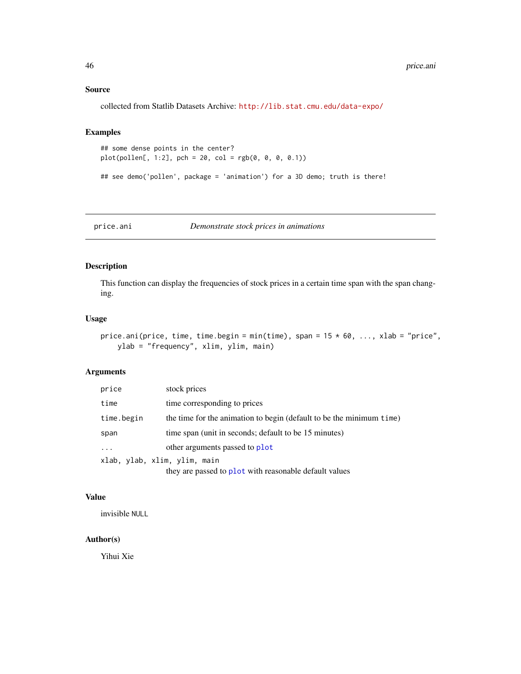#### <span id="page-45-0"></span>Source

collected from Statlib Datasets Archive: <http://lib.stat.cmu.edu/data-expo/>

### Examples

```
## some dense points in the center?
plot(pollen[, 1:2], pch = 20, col = rgb(0, 0, 0, 0.1))
```

```
## see demo('pollen', package = 'animation') for a 3D demo; truth is there!
```
#### price.ani *Demonstrate stock prices in animations*

### Description

This function can display the frequencies of stock prices in a certain time span with the span changing.

#### Usage

```
price.ani(price, time, time.begin = min(time), span = 15 * 60, ..., xlab = "price",
    ylab = "frequency", xlim, ylim, main)
```
### Arguments

| time<br>time corresponding to prices<br>time.begin<br>time span (unit in seconds; default to be 15 minutes)<br>span<br>other arguments passed to plot<br>$\ddotsc$<br>xlab, ylab, xlim, ylim, main<br>they are passed to plot with reasonable default values | price | stock prices                                                         |
|--------------------------------------------------------------------------------------------------------------------------------------------------------------------------------------------------------------------------------------------------------------|-------|----------------------------------------------------------------------|
|                                                                                                                                                                                                                                                              |       |                                                                      |
|                                                                                                                                                                                                                                                              |       | the time for the animation to begin (default to be the minimum time) |
|                                                                                                                                                                                                                                                              |       |                                                                      |
|                                                                                                                                                                                                                                                              |       |                                                                      |
|                                                                                                                                                                                                                                                              |       |                                                                      |

### Value

invisible NULL

### Author(s)

Yihui Xie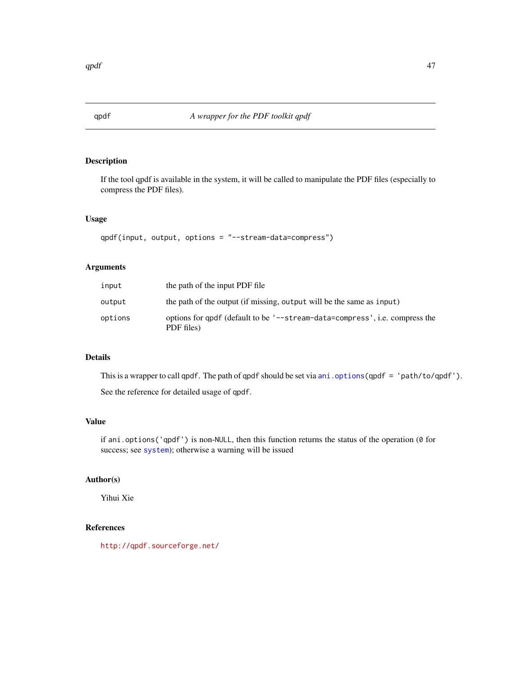<span id="page-46-1"></span><span id="page-46-0"></span>

If the tool qpdf is available in the system, it will be called to manipulate the PDF files (especially to compress the PDF files).

### Usage

```
qpdf(input, output, options = "--stream-data=compress")
```
### Arguments

| input   | the path of the input PDF file                                                            |
|---------|-------------------------------------------------------------------------------------------|
| output  | the path of the output (if missing, output will be the same as input)                     |
| options | options for qpdf (default to be '--stream-data=compress', i.e. compress the<br>PDF files) |

### Details

This is a wrapper to call qpdf. The path of qpdf should be set via [ani.options\(](#page-4-1)qpdf = 'path/to/qpdf'). See the reference for detailed usage of qpdf.

### Value

if ani.options('qpdf') is non-NULL, then this function returns the status of the operation (0 for success; see [system](#page-0-0)); otherwise a warning will be issued

### Author(s)

Yihui Xie

### References

<http://qpdf.sourceforge.net/>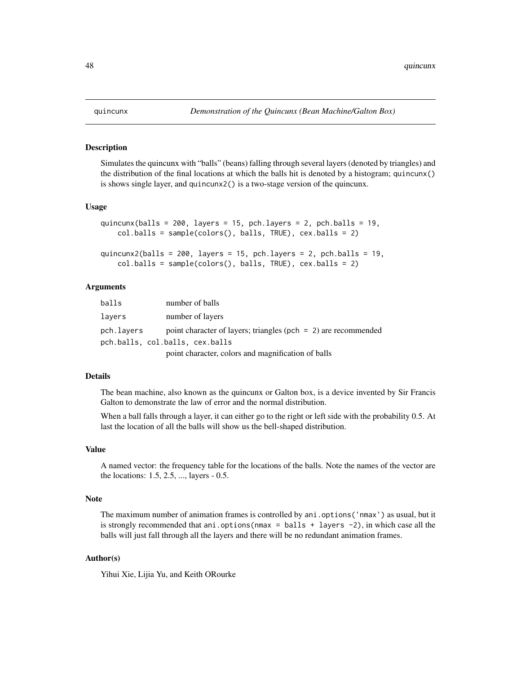Simulates the quincunx with "balls" (beans) falling through several layers (denoted by triangles) and the distribution of the final locations at which the balls hit is denoted by a histogram; quincunx() is shows single layer, and quincunx2() is a two-stage version of the quincunx.

#### Usage

```
quincunx(balls = 200, layers = 15, pch.layers = 2, pch.balls = 19,
    col.balls = sample(colors(), balls, TRUE), cex.balls = 2)
quincunx2(balls = 200, layers = 15, pch.layers = 2, pch.balls = 19,
    col.balls = sample(colors(), balls, TRUE), cex.balls = 2)
```
#### Arguments

| balls      | number of balls                                                   |
|------------|-------------------------------------------------------------------|
| layers     | number of layers                                                  |
| pch.layers | point character of layers; triangles (pch = $2$ ) are recommended |
|            | pch.balls, col.balls, cex.balls                                   |
|            | point character, colors and magnification of balls                |

### Details

The bean machine, also known as the quincunx or Galton box, is a device invented by Sir Francis Galton to demonstrate the law of error and the normal distribution.

When a ball falls through a layer, it can either go to the right or left side with the probability 0.5. At last the location of all the balls will show us the bell-shaped distribution.

### Value

A named vector: the frequency table for the locations of the balls. Note the names of the vector are the locations: 1.5, 2.5, ..., layers - 0.5.

#### Note

The maximum number of animation frames is controlled by ani.options('nmax') as usual, but it is strongly recommended that ani.options(nmax = balls + layers  $-2$ ), in which case all the balls will just fall through all the layers and there will be no redundant animation frames.

#### Author(s)

Yihui Xie, Lijia Yu, and Keith ORourke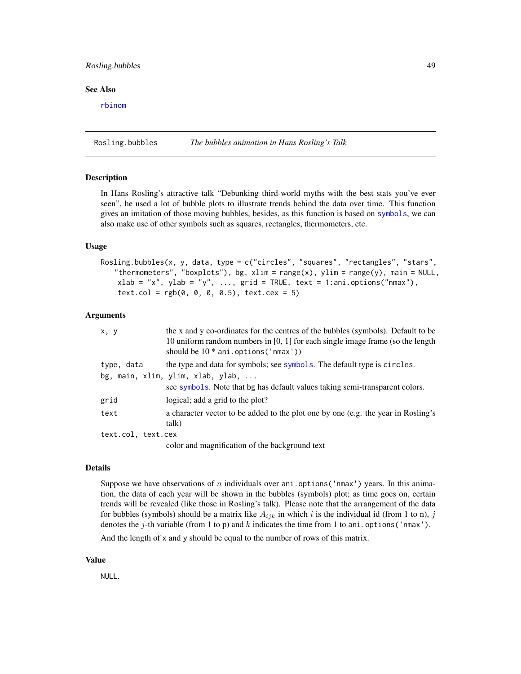### <span id="page-48-0"></span>Rosling.bubbles 49

#### See Also

[rbinom](#page-0-0)

Rosling.bubbles *The bubbles animation in Hans Rosling's Talk*

#### **Description**

In Hans Rosling's attractive talk "Debunking third-world myths with the best stats you've ever seen", he used a lot of bubble plots to illustrate trends behind the data over time. This function gives an imitation of those moving bubbles, besides, as this function is based on [symbols](#page-0-0), we can also make use of other symbols such as squares, rectangles, thermometers, etc.

#### Usage

```
Rosling.bubbles(x, y, data, type = c("circles", "squares", "rectangles", "stars",
   "thermometers", "boxplots"), bg, xlim = range(x), ylim = range(y), main = NULL,
   xlab = "x", ylab = "y", ..., grid = TRUE, text = 1:ani.options("nmax"),text.col = rgb(0, 0, 0, 0.5), text.cex = 5)
```
#### **Arguments**

| x, y               | the x and y co-ordinates for the centres of the bubbles (symbols). Default to be<br>10 uniform random numbers in $[0, 1]$ for each single image frame (so the length<br>should be $10 * ani.$ options ('nmax')) |
|--------------------|-----------------------------------------------------------------------------------------------------------------------------------------------------------------------------------------------------------------|
| type, data         | the type and data for symbols; see symbols. The default type is circles.<br>bg, main, xlim, ylim, xlab, ylab,<br>see symbols. Note that bg has default values taking semi-transparent colors.                   |
| grid               | logical; add a grid to the plot?                                                                                                                                                                                |
| text               | a character vector to be added to the plot one by one (e.g. the year in Rosling's<br>talk)                                                                                                                      |
| text.col, text.cex |                                                                                                                                                                                                                 |
|                    | color and magnification of the background text                                                                                                                                                                  |

### Details

Suppose we have observations of n individuals over ani.options ('nmax') years. In this animation, the data of each year will be shown in the bubbles (symbols) plot; as time goes on, certain trends will be revealed (like those in Rosling's talk). Please note that the arrangement of the data for bubbles (symbols) should be a matrix like  $A_{ijk}$  in which i is the individual id (from 1 to n), j denotes the j-th variable (from 1 to p) and k indicates the time from 1 to ani.options ('nmax').

And the length of x and y should be equal to the number of rows of this matrix.

#### Value

NULL.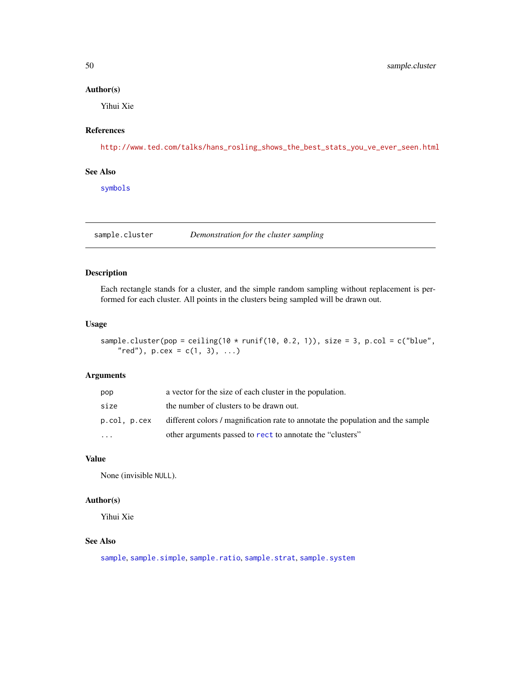### <span id="page-49-0"></span>Author(s)

Yihui Xie

### References

[http://www.ted.com/talks/hans\\_rosling\\_shows\\_the\\_best\\_stats\\_you\\_ve\\_ever\\_seen.html](http://www.ted.com/talks/hans_rosling_shows_the_best_stats_you_ve_ever_seen.html)

### See Also

[symbols](#page-0-0)

<span id="page-49-1"></span>sample.cluster *Demonstration for the cluster sampling*

### Description

Each rectangle stands for a cluster, and the simple random sampling without replacement is performed for each cluster. All points in the clusters being sampled will be drawn out.

### Usage

```
sample.cluster(pop = ceiling(10 * runif(10, 0.2, 1)), size = 3, p.col = c("blue",
    "red"), p.cex = c(1, 3), ...)
```
#### Arguments

| pop          | a vector for the size of each cluster in the population.                        |
|--------------|---------------------------------------------------------------------------------|
| size         | the number of clusters to be drawn out.                                         |
| p.col, p.cex | different colors / magnification rate to annotate the population and the sample |
| $\ddotsc$    | other arguments passed to rect to annotate the "clusters"                       |

### Value

None (invisible NULL).

### Author(s)

Yihui Xie

#### See Also

[sample](#page-0-0), [sample.simple](#page-51-1), [sample.ratio](#page-50-1), [sample.strat](#page-52-1), [sample.system](#page-52-2)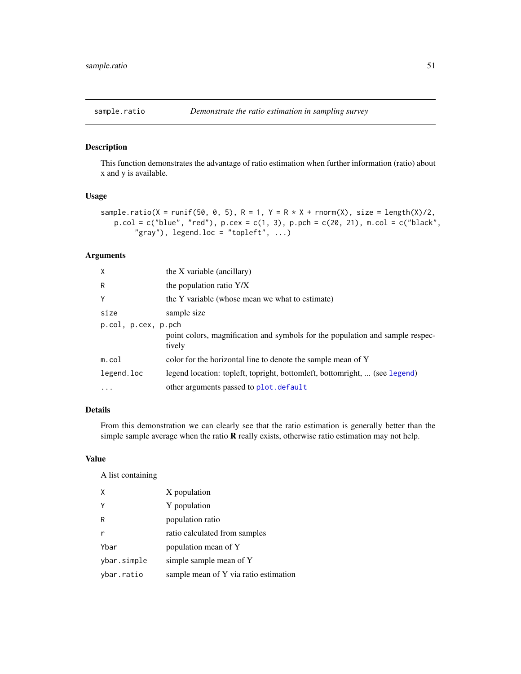<span id="page-50-1"></span><span id="page-50-0"></span>

This function demonstrates the advantage of ratio estimation when further information (ratio) about x and y is available.

### Usage

```
sample.ratio(X = runif(50, 0, 5), R = 1, Y = R * X + rnorm(X), size = length(X)/2,
   p.col = c("blue", "red"), p.cex = c(1, 3), p.pch = c(20, 21), m.col = c("black","gray"), legend.loc = "topleft", ...)
```
#### Arguments

| X                   | the X variable (ancillary)                                                              |  |
|---------------------|-----------------------------------------------------------------------------------------|--|
| R                   | the population ratio $Y/X$                                                              |  |
| Y                   | the Y variable (whose mean we what to estimate)                                         |  |
| size                | sample size                                                                             |  |
| p.col, p.cex, p.pch |                                                                                         |  |
|                     | point colors, magnification and symbols for the population and sample respec-<br>tively |  |
| m.col               | color for the horizontal line to denote the sample mean of Y                            |  |
| legend.loc          | legend location: topleft, topright, bottomleft, bottomright,  (see legend)              |  |
| $\cdots$            | other arguments passed to plot. default                                                 |  |

### Details

From this demonstration we can clearly see that the ratio estimation is generally better than the simple sample average when the ratio  **really exists, otherwise ratio estimation may not help.** 

### Value

A list containing

| X           | X population                          |
|-------------|---------------------------------------|
| Y           | Y population                          |
| R           | population ratio                      |
|             | ratio calculated from samples         |
| Ybar        | population mean of Y                  |
| ybar.simple | simple sample mean of Y               |
| ybar.ratio  | sample mean of Y via ratio estimation |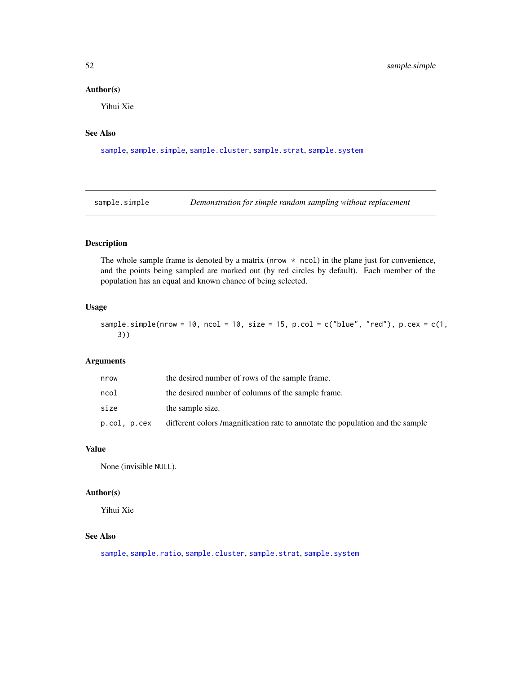#### <span id="page-51-0"></span>Author(s)

Yihui Xie

#### See Also

[sample](#page-0-0), [sample.simple](#page-51-1), [sample.cluster](#page-49-1), [sample.strat](#page-52-1), [sample.system](#page-52-2)

<span id="page-51-1"></span>sample.simple *Demonstration for simple random sampling without replacement*

### Description

The whole sample frame is denoted by a matrix (nrow  $\star$  ncol) in the plane just for convenience, and the points being sampled are marked out (by red circles by default). Each member of the population has an equal and known chance of being selected.

#### Usage

```
sample.simple(nrow = 10, ncol = 10, size = 15, p.col = c("blue", "red"), p. cex = c(1,3))
```
### Arguments

| nrow         | the desired number of rows of the sample frame.                                |
|--------------|--------------------------------------------------------------------------------|
| ncol         | the desired number of columns of the sample frame.                             |
| size         | the sample size.                                                               |
| p.col, p.cex | different colors /magnification rate to annotate the population and the sample |

### Value

None (invisible NULL).

#### Author(s)

Yihui Xie

### See Also

[sample](#page-0-0), [sample.ratio](#page-50-1), [sample.cluster](#page-49-1), [sample.strat](#page-52-1), [sample.system](#page-52-2)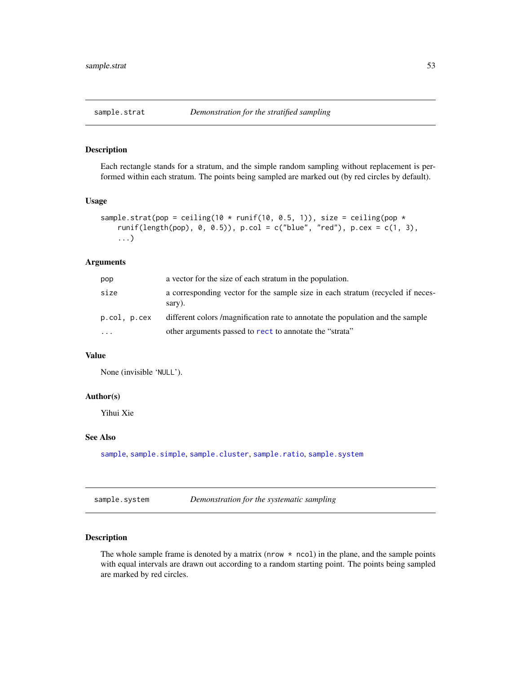<span id="page-52-1"></span><span id="page-52-0"></span>

Each rectangle stands for a stratum, and the simple random sampling without replacement is performed within each stratum. The points being sampled are marked out (by red circles by default).

### Usage

```
sample.strat(pop = ceiling(10 * runif(10, 0.5, 1)), size = ceiling(pop *runif(length(pop), 0, 0.5)), p.col = c("blue", "red"), p.cex = c(1, 3),
    ...)
```
#### Arguments

| pop          | a vector for the size of each stratum in the population.                                 |
|--------------|------------------------------------------------------------------------------------------|
| size         | a corresponding vector for the sample size in each stratum (recycled if neces-<br>sary). |
| p.col. p.cex | different colors /magnification rate to annotate the population and the sample           |
| $\cdots$     | other arguments passed to rect to annotate the "strata"                                  |

### Value

None (invisible 'NULL').

#### Author(s)

Yihui Xie

#### See Also

[sample](#page-0-0), [sample.simple](#page-51-1), [sample.cluster](#page-49-1), [sample.ratio](#page-50-1), [sample.system](#page-52-2)

<span id="page-52-2"></span>

| sample.system |  | Demonstration for the systematic sampling |
|---------------|--|-------------------------------------------|
|               |  |                                           |

#### Description

The whole sample frame is denoted by a matrix (nrow  $\star$  ncol) in the plane, and the sample points with equal intervals are drawn out according to a random starting point. The points being sampled are marked by red circles.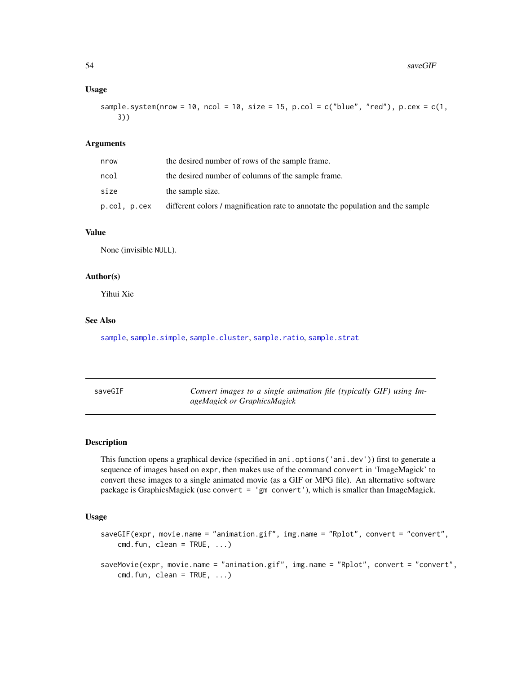#### <span id="page-53-0"></span>Usage

```
sample.system(nrow = 10, ncol = 10, size = 15, p.col = c("blue", "red"), p.cex = c(1,
    3))
```
### Arguments

| nrow         | the desired number of rows of the sample frame.                                 |
|--------------|---------------------------------------------------------------------------------|
| ncol         | the desired number of columns of the sample frame.                              |
| size         | the sample size.                                                                |
| p.col, p.cex | different colors / magnification rate to annotate the population and the sample |

#### Value

None (invisible NULL).

## Author(s)

Yihui Xie

### See Also

[sample](#page-0-0), [sample.simple](#page-51-1), [sample.cluster](#page-49-1), [sample.ratio](#page-50-1), [sample.strat](#page-52-1)

<span id="page-53-1"></span>

| saveGIF | Convert images to a single animation file (typically GIF) using Im- |
|---------|---------------------------------------------------------------------|
|         | ageMagick or GraphicsMagick                                         |

#### <span id="page-53-2"></span>Description

This function opens a graphical device (specified in ani.options('ani.dev')) first to generate a sequence of images based on expr, then makes use of the command convert in 'ImageMagick' to convert these images to a single animated movie (as a GIF or MPG file). An alternative software package is GraphicsMagick (use convert = 'gm convert'), which is smaller than ImageMagick.

#### Usage

```
saveGIF(expr, movie.name = "animation.gif", img.name = "Rplot", convert = "convert",
    cmd.find, clean = TRUE, ...)
saveMovie(expr, movie.name = "animation.gif", img.name = "Rplot", convert = "convert",
    cmd.find.find, clean = TRUE, ...)
```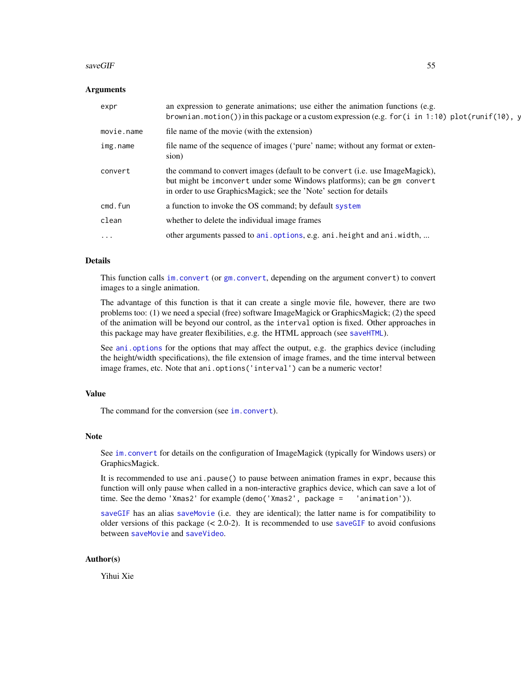#### <span id="page-54-0"></span> $saveGIF$  55

#### **Arguments**

| expr       | an expression to generate animations; use either the animation functions (e.g.<br>brownian.motion()) in this package or a custom expression (e.g. for (i in 1:10) plot (runif (10), y                                                 |
|------------|---------------------------------------------------------------------------------------------------------------------------------------------------------------------------------------------------------------------------------------|
| movie.name | file name of the movie (with the extension)                                                                                                                                                                                           |
| img.name   | file name of the sequence of images ('pure' name; without any format or exten-<br>sion)                                                                                                                                               |
| convert    | the command to convert images (default to be convert ( <i>i.e.</i> use ImageMagick),<br>but might be imconvert under some Windows platforms); can be gm convert<br>in order to use GraphicsMagick; see the 'Note' section for details |
| cmd.fun    | a function to invoke the OS command; by default system                                                                                                                                                                                |
| clean      | whether to delete the individual image frames                                                                                                                                                                                         |
| $\ddots$ . | other arguments passed to ani. options, e.g. ani. height and ani. width,                                                                                                                                                              |
|            |                                                                                                                                                                                                                                       |

#### Details

This function calls [im.convert](#page-28-1) (or [gm.convert](#page-28-2), depending on the argument convert) to convert images to a single animation.

The advantage of this function is that it can create a single movie file, however, there are two problems too: (1) we need a special (free) software ImageMagick or GraphicsMagick; (2) the speed of the animation will be beyond our control, as the interval option is fixed. Other approaches in this package may have greater flexibilities, e.g. the HTML approach (see [saveHTML](#page-55-1)).

See ani. options for the options that may affect the output, e.g. the graphics device (including the height/width specifications), the file extension of image frames, and the time interval between image frames, etc. Note that ani.options('interval') can be a numeric vector!

### Value

The command for the conversion (see [im.convert](#page-28-1)).

### Note

See [im.convert](#page-28-1) for details on the configuration of ImageMagick (typically for Windows users) or GraphicsMagick.

It is recommended to use ani.pause() to pause between animation frames in expr, because this function will only pause when called in a non-interactive graphics device, which can save a lot of time. See the demo 'Xmas2' for example (demo('Xmas2', package = 'animation')).

[saveGIF](#page-53-1) has an alias [saveMovie](#page-53-2) (i.e. they are identical); the latter name is for compatibility to older versions of this package  $( $2.0-2$ ). It is recommended to use [saveGIF](#page-53-1) to avoid confusions$ between [saveMovie](#page-53-2) and [saveVideo](#page-60-1).

#### Author(s)

Yihui Xie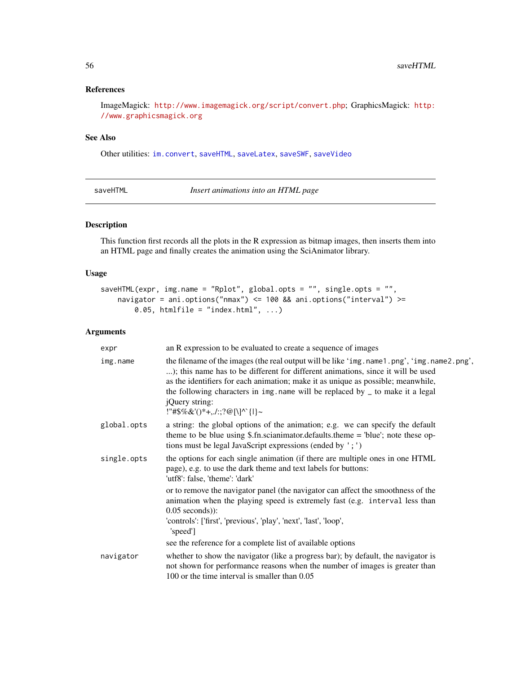### <span id="page-55-0"></span>References

ImageMagick: <http://www.imagemagick.org/script/convert.php>; GraphicsMagick: [http:](http://www.graphicsmagick.org) [//www.graphicsmagick.org](http://www.graphicsmagick.org)

### See Also

Other utilities: [im.convert](#page-28-1), [saveHTML](#page-55-1), [saveLatex](#page-57-1), [saveSWF](#page-59-1), [saveVideo](#page-60-1)

<span id="page-55-1"></span>saveHTML *Insert animations into an HTML page*

### Description

This function first records all the plots in the R expression as bitmap images, then inserts them into an HTML page and finally creates the animation using the SciAnimator library.

#### Usage

```
saveHTML(expr, img.name = "Rplot", global.opts = "", single.opts = "",
    navigator = ani.options("nmax") <= 100 && ani.options("interval") >=
        0.05, htmlfile = "index.html", \ldots)
```
### Arguments

| expr        | an R expression to be evaluated to create a sequence of images                                                                                                                                                                                                                                                                                                                                                |
|-------------|---------------------------------------------------------------------------------------------------------------------------------------------------------------------------------------------------------------------------------------------------------------------------------------------------------------------------------------------------------------------------------------------------------------|
| img.name    | the filename of the images (the real output will be like 'img.name1.png', 'img.name2.png',<br>); this name has to be different for different animations, since it will be used<br>as the identifiers for each animation; make it as unique as possible; meanwhile,<br>the following characters in img. name will be replaced by $\angle$ to make it a legal<br>jQuery string:<br>!"#\$%&'()*+,./:;?@[\]^`{ }~ |
| global.opts | a string: the global options of the animation; e.g. we can specify the default<br>theme to be blue using $$.fn$ .scianimator.defaults.theme = 'blue'; note these op-<br>tions must be legal JavaScript expressions (ended by '; ')                                                                                                                                                                            |
| single.opts | the options for each single animation (if there are multiple ones in one HTML<br>page), e.g. to use the dark theme and text labels for buttons:<br>'utf8': false, 'theme': 'dark'                                                                                                                                                                                                                             |
|             | or to remove the navigator panel (the navigator can affect the smoothness of the<br>animation when the playing speed is extremely fast (e.g. interval less than<br>$0.05$ seconds)):<br>'controls': ['first', 'previous', 'play', 'next', 'last', 'loop',<br>'speed']                                                                                                                                         |
|             | see the reference for a complete list of available options                                                                                                                                                                                                                                                                                                                                                    |
| navigator   | whether to show the navigator (like a progress bar); by default, the navigator is<br>not shown for performance reasons when the number of images is greater than<br>100 or the time interval is smaller than 0.05                                                                                                                                                                                             |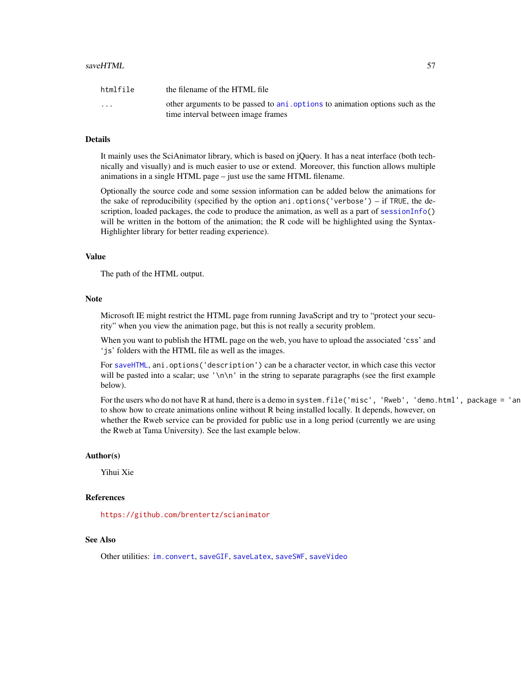#### <span id="page-56-0"></span> $s$ aveHTML 57

| htmlfile | the filename of the HTML file                                                                                       |
|----------|---------------------------------------------------------------------------------------------------------------------|
| $\cdot$  | other arguments to be passed to ani, options to animation options such as the<br>time interval between image frames |

### Details

It mainly uses the SciAnimator library, which is based on jQuery. It has a neat interface (both technically and visually) and is much easier to use or extend. Moreover, this function allows multiple animations in a single HTML page – just use the same HTML filename.

Optionally the source code and some session information can be added below the animations for the sake of reproducibility (specified by the option ani.options('verbose') – if TRUE, the description, loaded packages, the code to produce the animation, as well as a part of [sessionInfo\(](#page-0-0)) will be written in the bottom of the animation; the R code will be highlighted using the Syntax-Highlighter library for better reading experience).

### Value

The path of the HTML output.

#### Note

Microsoft IE might restrict the HTML page from running JavaScript and try to "protect your security" when you view the animation page, but this is not really a security problem.

When you want to publish the HTML page on the web, you have to upload the associated 'css' and 'js' folders with the HTML file as well as the images.

For [saveHTML](#page-55-1), ani.options ('description') can be a character vector, in which case this vector will be pasted into a scalar; use  $\ln \ln \frac{1}{n}$  in the string to separate paragraphs (see the first example below).

For the users who do not have R at hand, there is a demo in system.  $file('misc', 'Rweb', 'demo.html', package = 'an$ to show how to create animations online without R being installed locally. It depends, however, on whether the Rweb service can be provided for public use in a long period (currently we are using the Rweb at Tama University). See the last example below.

#### Author(s)

Yihui Xie

#### References

<https://github.com/brentertz/scianimator>

#### See Also

Other utilities: [im.convert](#page-28-1), [saveGIF](#page-53-1), [saveLatex](#page-57-1), [saveSWF](#page-59-1), [saveVideo](#page-60-1)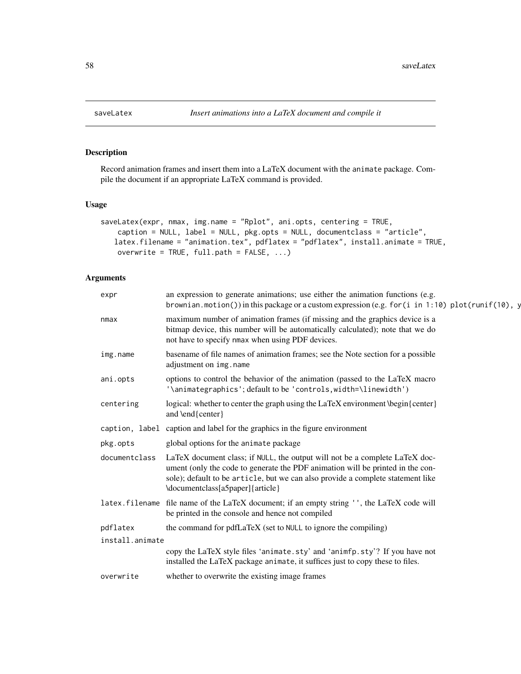Record animation frames and insert them into a LaTeX document with the animate package. Compile the document if an appropriate LaTeX command is provided.

### Usage

```
saveLatex(expr, nmax, img.name = "Rplot", ani.opts, centering = TRUE,
   caption = NULL, label = NULL, pkg.opts = NULL, documentclass = "article",
   latex.filename = "animation.tex", pdflatex = "pdflatex", install.animate = TRUE,
   overwrite = TRUE, full.path = FALSE, ...)
```
### Arguments

| expr            | an expression to generate animations; use either the animation functions (e.g.<br>brownian.motion()) in this package or a custom expression (e.g. for (i in 1:10) plot (runif(10), y                                                                                                 |
|-----------------|--------------------------------------------------------------------------------------------------------------------------------------------------------------------------------------------------------------------------------------------------------------------------------------|
| nmax            | maximum number of animation frames (if missing and the graphics device is a<br>bitmap device, this number will be automatically calculated); note that we do<br>not have to specify nmax when using PDF devices.                                                                     |
| img.name        | basename of file names of animation frames; see the Note section for a possible<br>adjustment on img. name                                                                                                                                                                           |
| ani.opts        | options to control the behavior of the animation (passed to the LaTeX macro<br>'\animategraphics'; default to be 'controls, width=\linewidth')                                                                                                                                       |
| centering       | logical: whether to center the graph using the LaTeX environment \begin{center}<br>and \end{center}                                                                                                                                                                                  |
|                 | caption, label caption and label for the graphics in the figure environment                                                                                                                                                                                                          |
| pkg.opts        | global options for the animate package                                                                                                                                                                                                                                               |
| documentclass   | LaTeX document class; if NULL, the output will not be a complete LaTeX doc-<br>ument (only the code to generate the PDF animation will be printed in the con-<br>sole); default to be article, but we can also provide a complete statement like<br>\documentclass[a5paper]{article} |
|                 | latex.filename file name of the LaTeX document; if an empty string '', the LaTeX code will<br>be printed in the console and hence not compiled                                                                                                                                       |
| pdflatex        | the command for pdfLaTeX (set to NULL to ignore the compiling)                                                                                                                                                                                                                       |
| install.animate |                                                                                                                                                                                                                                                                                      |
|                 | copy the LaTeX style files 'animate.sty' and 'animfp.sty'? If you have not<br>installed the LaTeX package animate, it suffices just to copy these to files.                                                                                                                          |
| overwrite       | whether to overwrite the existing image frames                                                                                                                                                                                                                                       |
|                 |                                                                                                                                                                                                                                                                                      |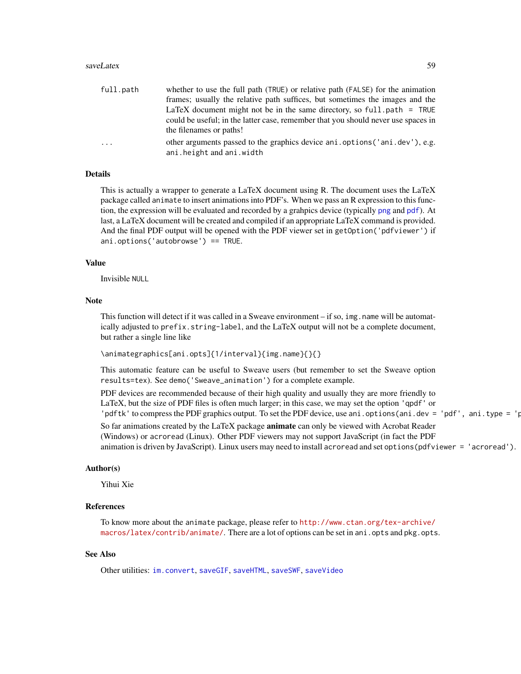#### <span id="page-58-0"></span>saveLatex 59

| full.path | whether to use the full path (TRUE) or relative path (FALSE) for the animation                               |
|-----------|--------------------------------------------------------------------------------------------------------------|
|           | frames; usually the relative path suffices, but sometimes the images and the                                 |
|           | LaTeX document might not be in the same directory, so full, path $=$ TRUE                                    |
|           | could be useful; in the latter case, remember that you should never use spaces in<br>the filenames or paths! |
| .         | other arguments passed to the graphics device ani, options ('ani, dev'), e.g.<br>ani.height and ani.width    |

### Details

This is actually a wrapper to generate a LaTeX document using R. The document uses the LaTeX package called animate to insert animations into PDF's. When we pass an R expression to this function, the expression will be evaluated and recorded by a grahpics device (typically [png](#page-0-0) and [pdf](#page-0-0)). At last, a LaTeX document will be created and compiled if an appropriate LaTeX command is provided. And the final PDF output will be opened with the PDF viewer set in getOption('pdfviewer') if ani.options('autobrowse') == TRUE.

### Value

Invisible NULL

### **Note**

This function will detect if it was called in a Sweave environment – if so, img.name will be automatically adjusted to prefix.string-label, and the LaTeX output will not be a complete document, but rather a single line like

\animategraphics[ani.opts]{1/interval}{img.name}{}{}

This automatic feature can be useful to Sweave users (but remember to set the Sweave option results=tex). See demo('Sweave\_animation') for a complete example.

PDF devices are recommended because of their high quality and usually they are more friendly to LaTeX, but the size of PDF files is often much larger; in this case, we may set the option 'qpdf' or 'pdftk' to compress the PDF graphics output. To set the PDF device, use ani.options(ani.dev = 'pdf', ani.type = 'p

So far animations created by the LaTeX package **animate** can only be viewed with Acrobat Reader (Windows) or acroread (Linux). Other PDF viewers may not support JavaScript (in fact the PDF animation is driven by JavaScript). Linux users may need to install acroread and set options(pdfviewer = 'acroread').

### Author(s)

Yihui Xie

### References

To know more about the animate package, please refer to [http://www.ctan.org/tex-archive/](http://www.ctan.org/tex-archive/macros/latex/contrib/animate/) [macros/latex/contrib/animate/](http://www.ctan.org/tex-archive/macros/latex/contrib/animate/). There are a lot of options can be set in ani.opts and pkg.opts.

#### See Also

Other utilities: [im.convert](#page-28-1), [saveGIF](#page-53-1), [saveHTML](#page-55-1), [saveSWF](#page-59-1), [saveVideo](#page-60-1)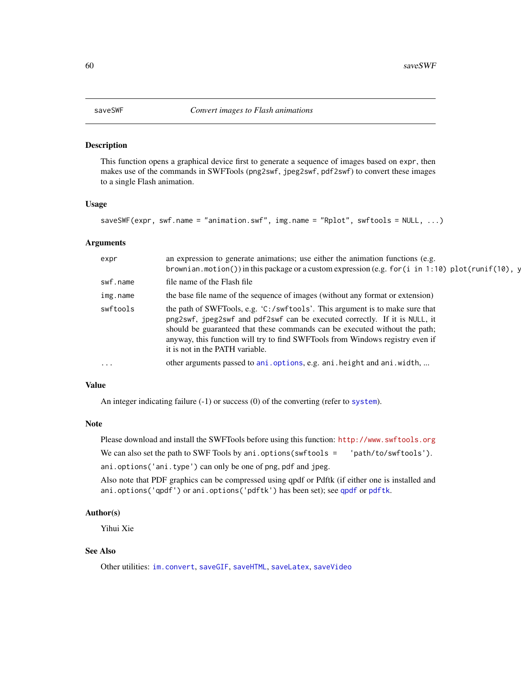<span id="page-59-1"></span><span id="page-59-0"></span>

This function opens a graphical device first to generate a sequence of images based on expr, then makes use of the commands in SWFTools (png2swf, jpeg2swf, pdf2swf) to convert these images to a single Flash animation.

#### Usage

```
saveSWF(expr, swf.name = "animation.swf", img.name = "Rplot", swftools = NULL, ...)
```
#### Arguments

| expr     | an expression to generate animations; use either the animation functions (e.g.<br>brownian.motion()) in this package or a custom expression (e.g. for (i in 1:10) plot (runif (10), y                                                                                                                                                                        |
|----------|--------------------------------------------------------------------------------------------------------------------------------------------------------------------------------------------------------------------------------------------------------------------------------------------------------------------------------------------------------------|
| swf.name | file name of the Flash file                                                                                                                                                                                                                                                                                                                                  |
| img.name | the base file name of the sequence of images (without any format or extension)                                                                                                                                                                                                                                                                               |
| swftools | the path of SWFTools, e.g. 'C:/swftools'. This argument is to make sure that<br>png2swf, jpeg2swf and pdf2swf can be executed correctly. If it is NULL, it<br>should be guaranteed that these commands can be executed without the path;<br>anyway, this function will try to find SWFTools from Windows registry even if<br>it is not in the PATH variable. |
| $\cdot$  | other arguments passed to ani.options, e.g. ani.height and ani.width,                                                                                                                                                                                                                                                                                        |
|          |                                                                                                                                                                                                                                                                                                                                                              |

### Value

An integer indicating failure (-1) or success (0) of the converting (refer to [system](#page-0-0)).

#### Note

Please download and install the SWFTools before using this function: <http://www.swftools.org>

We can also set the path to SWF Tools by ani.options(swftools = 'path/to/swftools').

ani.options('ani.type') can only be one of png, pdf and jpeg.

Also note that PDF graphics can be compressed using qpdf or Pdftk (if either one is installed and ani.options('qpdf') or ani.options('pdftk') has been set); see [qpdf](#page-46-1) or [pdftk](#page-43-1).

#### Author(s)

Yihui Xie

#### See Also

Other utilities: [im.convert](#page-28-1), [saveGIF](#page-53-1), [saveHTML](#page-55-1), [saveLatex](#page-57-1), [saveVideo](#page-60-1)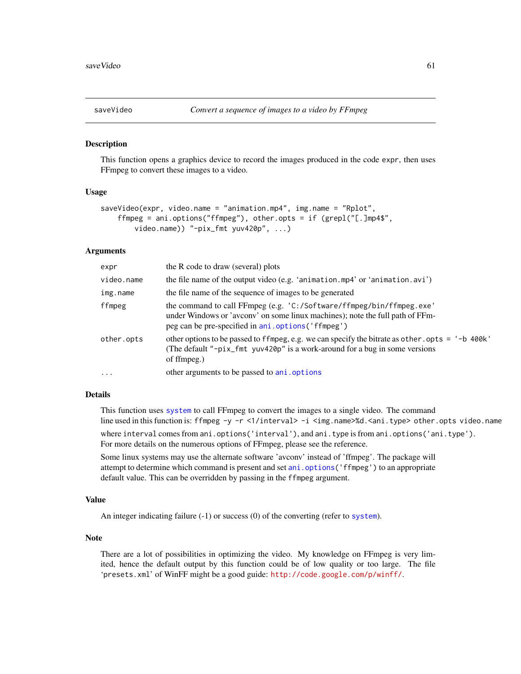<span id="page-60-1"></span><span id="page-60-0"></span>

This function opens a graphics device to record the images produced in the code expr, then uses FFmpeg to convert these images to a video.

#### Usage

```
saveVideo(expr, video.name = "animation.mp4", img.name = "Rplot",
   ffmpeg = ani.options("ffmpeg"), other.opts = if (grepl("[.]mp4$",
       video.name)) "-pix_fmt yuv420p", ...)
```
#### Arguments

| expr       | the R code to draw (several) plots                                                                                                                                                                          |
|------------|-------------------------------------------------------------------------------------------------------------------------------------------------------------------------------------------------------------|
| video.name | the file name of the output video (e.g. 'animation.mp4' or 'animation.avi')                                                                                                                                 |
| img.name   | the file name of the sequence of images to be generated                                                                                                                                                     |
| ffmpeg     | the command to call FFmpeg (e.g. 'C:/Software/ffmpeg/bin/ffmpeg.exe'<br>under Windows or 'avconv' on some linux machines); note the full path of FFm-<br>peg can be pre-specified in ani.options ('ffmpeg') |
| other.opts | other options to be passed to ffmpeg, e.g. we can specify the bitrate as other opts = $-$ b 400k'<br>(The default "-pix_fmt yuv420p" is a work-around for a bug in some versions<br>of ffmpeg.)             |
| $\ddotsc$  | other arguments to be passed to ani. options                                                                                                                                                                |
|            |                                                                                                                                                                                                             |

### Details

This function uses [system](#page-0-0) to call FFmpeg to convert the images to a single video. The command line used in this function is: ffmpeg -y -r <1/interval> -i <img.name>%d.<ani.type> other.opts video.name

where interval comes from ani.options('interval'), and ani.type is from ani.options('ani.type'). For more details on the numerous options of FFmpeg, please see the reference.

Some linux systems may use the alternate software 'avconv' instead of 'ffmpeg'. The package will attempt to determine which command is present and set ani.options ('ffmpeg') to an appropriate default value. This can be overridden by passing in the ffmpeg argument.

#### Value

An integer indicating failure  $(-1)$  or success  $(0)$  of the converting (refer to [system](#page-0-0)).

### Note

There are a lot of possibilities in optimizing the video. My knowledge on FFmpeg is very limited, hence the default output by this function could be of low quality or too large. The file 'presets.xml' of WinFF might be a good guide: <http://code.google.com/p/winff/>.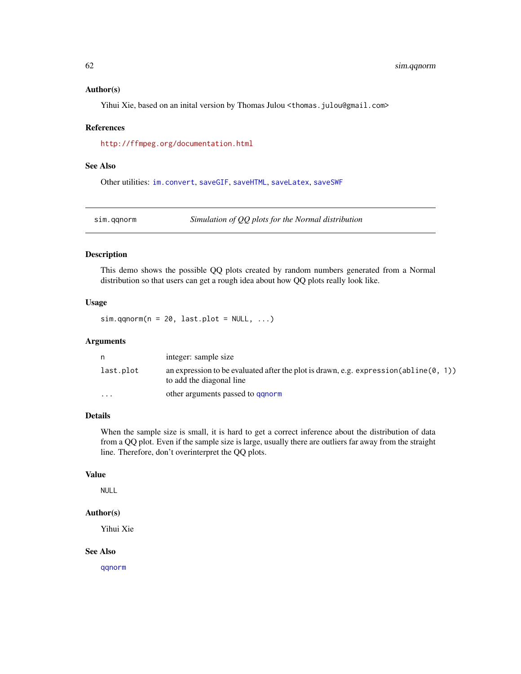#### <span id="page-61-0"></span>Author(s)

Yihui Xie, based on an inital version by Thomas Julou <thomas.julou@gmail.com>

#### References

<http://ffmpeg.org/documentation.html>

#### See Also

Other utilities: [im.convert](#page-28-1), [saveGIF](#page-53-1), [saveHTML](#page-55-1), [saveLatex](#page-57-1), [saveSWF](#page-59-1)

sim.qqnorm *Simulation of QQ plots for the Normal distribution*

#### Description

This demo shows the possible QQ plots created by random numbers generated from a Normal distribution so that users can get a rough idea about how QQ plots really look like.

#### Usage

 $sim.qqnorm(n = 20, last.plot = NULL, ...)$ 

### Arguments

| n.        | integer: sample size                                                                                                  |
|-----------|-----------------------------------------------------------------------------------------------------------------------|
| last.plot | an expression to be evaluated after the plot is drawn, e.g. expression (abline $(0, 1)$ )<br>to add the diagonal line |
| $\cdots$  | other arguments passed to ganorm                                                                                      |

### Details

When the sample size is small, it is hard to get a correct inference about the distribution of data from a QQ plot. Even if the sample size is large, usually there are outliers far away from the straight line. Therefore, don't overinterpret the QQ plots.

### Value

NULL

#### Author(s)

Yihui Xie

#### See Also

[qqnorm](#page-0-0)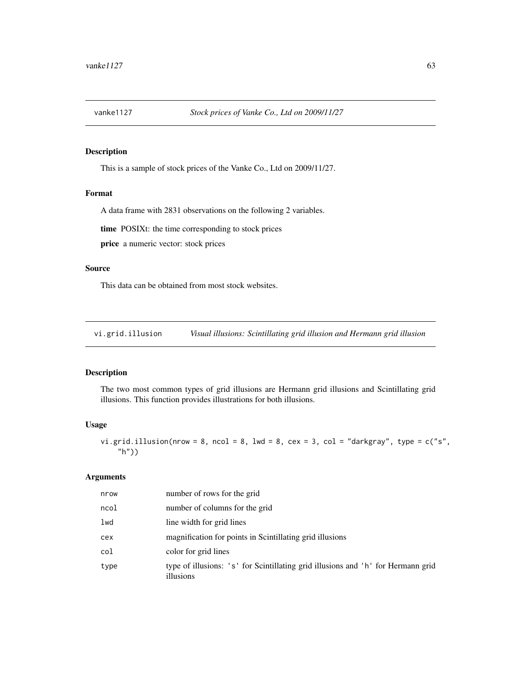<span id="page-62-0"></span>

This is a sample of stock prices of the Vanke Co., Ltd on 2009/11/27.

### Format

A data frame with 2831 observations on the following 2 variables.

time POSIXt: the time corresponding to stock prices

price a numeric vector: stock prices

### Source

This data can be obtained from most stock websites.

vi.grid.illusion *Visual illusions: Scintillating grid illusion and Hermann grid illusion*

### Description

The two most common types of grid illusions are Hermann grid illusions and Scintillating grid illusions. This function provides illustrations for both illusions.

#### Usage

```
vi.grid.illusion(nrow = 8, ncol = 8, lwd = 8, cex = 3, col = "darkgray", type = c("s","h"))
```
### Arguments

| nrow | number of rows for the grid                                                                   |
|------|-----------------------------------------------------------------------------------------------|
| ncol | number of columns for the grid                                                                |
| lwd  | line width for grid lines                                                                     |
| cex  | magnification for points in Scintillating grid illusions                                      |
| col  | color for grid lines                                                                          |
| type | type of illusions: 's' for Scintillating grid illusions and 'h' for Hermann grid<br>illusions |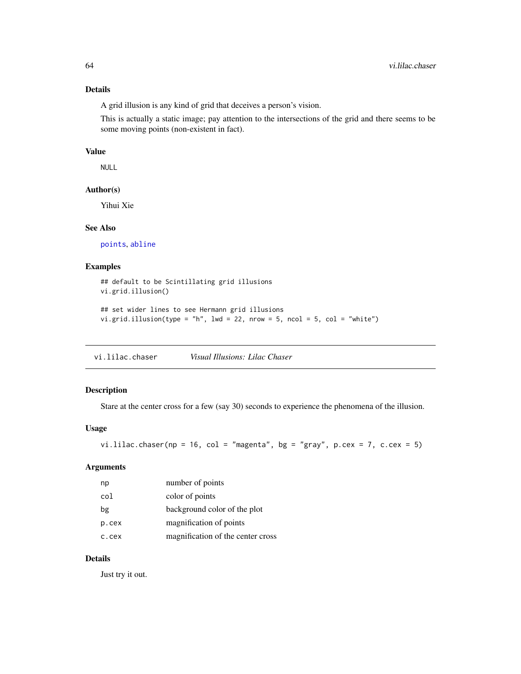### <span id="page-63-0"></span>Details

A grid illusion is any kind of grid that deceives a person's vision.

This is actually a static image; pay attention to the intersections of the grid and there seems to be some moving points (non-existent in fact).

### Value

NULL

### Author(s)

Yihui Xie

### See Also

[points](#page-0-0), [abline](#page-0-0)

### Examples

```
## default to be Scintillating grid illusions
vi.grid.illusion()
```

```
## set wider lines to see Hermann grid illusions
vi.grid.illusion(type = "h", lwd = 22, nrow = 5, ncol = 5, col = "white")
```
vi.lilac.chaser *Visual Illusions: Lilac Chaser*

#### Description

Stare at the center cross for a few (say 30) seconds to experience the phenomena of the illusion.

#### Usage

```
vi.lilac.chaser(np = 16, col = "magenta", bg = "gray", p.cex = 7, c.cex = 5)
```
#### Arguments

| np    | number of points                  |
|-------|-----------------------------------|
| col   | color of points                   |
| bg    | background color of the plot      |
| p.cex | magnification of points           |
| c.cex | magnification of the center cross |

### Details

Just try it out.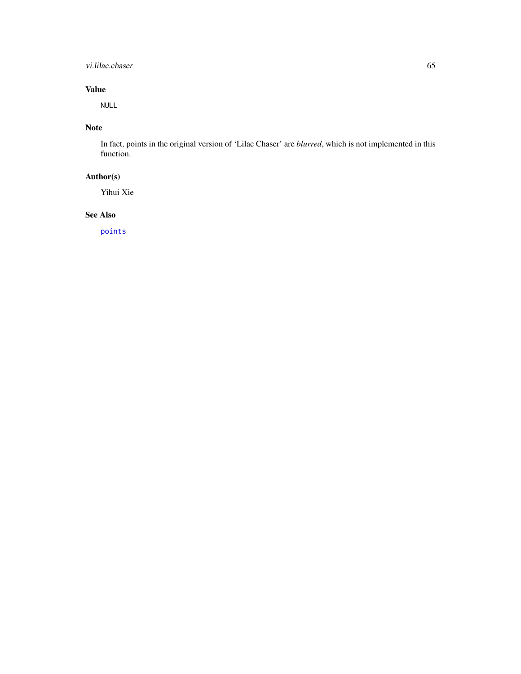### <span id="page-64-0"></span>vi.lilac.chaser 65

## Value

NULL

### Note

In fact, points in the original version of 'Lilac Chaser' are *blurred*, which is not implemented in this function.

### Author(s)

Yihui Xie

### See Also

[points](#page-0-0)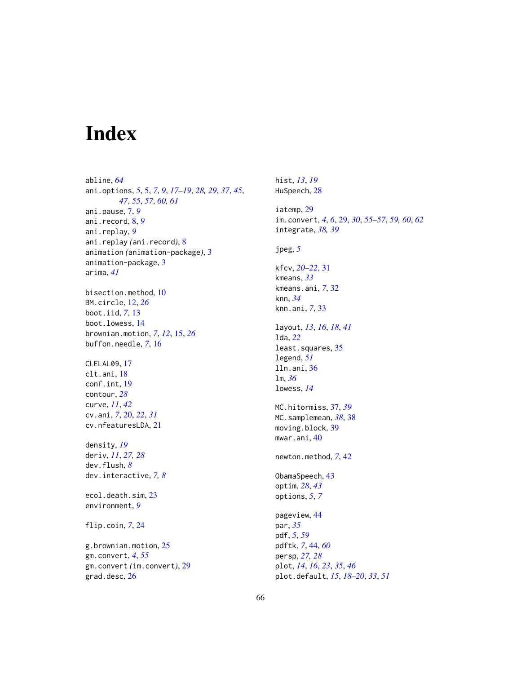# <span id="page-65-0"></span>Index

abline, *[64](#page-63-0)* ani.options, *[5](#page-4-0)*, [5,](#page-4-0) *[7](#page-6-0)*, *[9](#page-8-0)*, *[17–](#page-16-0)[19](#page-18-0)*, *[28,](#page-27-0) [29](#page-28-0)*, *[37](#page-36-0)*, *[45](#page-44-0)*, *[47](#page-46-0)*, *[55](#page-54-0)*, *[57](#page-56-0)*, *[60,](#page-59-0) [61](#page-60-0)* ani.pause, [7,](#page-6-0) *[9](#page-8-0)* ani.record, [8,](#page-7-0) *[9](#page-8-0)* ani.replay, *[9](#page-8-0)* ani.replay *(*ani.record*)*, [8](#page-7-0) animation *(*animation-package*)*, [3](#page-2-0) animation-package, [3](#page-2-0) arima, *[41](#page-40-0)* bisection.method, [10](#page-9-0) BM.circle, [12,](#page-11-0) *[26](#page-25-0)* boot.iid, *[7](#page-6-0)*, [13](#page-12-0) boot.lowess, [14](#page-13-0) brownian.motion, *[7](#page-6-0)*, *[12](#page-11-0)*, [15,](#page-14-0) *[26](#page-25-0)* buffon.needle, *[7](#page-6-0)*, [16](#page-15-0) CLELAL09, [17](#page-16-0) clt.ani, [18](#page-17-0) conf.int, [19](#page-18-0) contour, *[28](#page-27-0)* curve, *[11](#page-10-0)*, *[42](#page-41-0)* cv.ani, *[7](#page-6-0)*, [20,](#page-19-0) *[22](#page-21-0)*, *[31](#page-30-0)* cv.nfeaturesLDA, [21](#page-20-0) density, *[19](#page-18-0)* deriv, *[11](#page-10-0)*, *[27,](#page-26-0) [28](#page-27-0)* dev.flush, *[8](#page-7-0)* dev.interactive, *[7,](#page-6-0) [8](#page-7-0)* ecol.death.sim, [23](#page-22-0) environment, *[9](#page-8-0)* flip.coin, *[7](#page-6-0)*, [24](#page-23-0) g.brownian.motion, [25](#page-24-0) gm.convert, *[4](#page-3-0)*, *[55](#page-54-0)* gm.convert *(*im.convert*)*, [29](#page-28-0) grad.desc, [26](#page-25-0)

hist, *[13](#page-12-0)*, *[19](#page-18-0)* HuSpeech, [28](#page-27-0) iatemp, [29](#page-28-0) im.convert, *[4](#page-3-0)*, *[6](#page-5-0)*, [29,](#page-28-0) *[30](#page-29-0)*, *[55](#page-54-0)[–57](#page-56-0)*, *[59,](#page-58-0) [60](#page-59-0)*, *[62](#page-61-0)* integrate, *[38,](#page-37-0) [39](#page-38-0)* jpeg, *[5](#page-4-0)* kfcv, *[20–](#page-19-0)[22](#page-21-0)*, [31](#page-30-0) kmeans, *[33](#page-32-0)* kmeans.ani, *[7](#page-6-0)*, [32](#page-31-0) knn, *[34](#page-33-0)* knn.ani, *[7](#page-6-0)*, [33](#page-32-0) layout, *[13](#page-12-0)*, *[16](#page-15-0)*, *[18](#page-17-0)*, *[41](#page-40-0)* lda, *[22](#page-21-0)* least.squares, [35](#page-34-0) legend, *[51](#page-50-0)* lln.ani, [36](#page-35-0) lm, *[36](#page-35-0)* lowess, *[14](#page-13-0)* MC.hitormiss, [37,](#page-36-0) *[39](#page-38-0)* MC.samplemean, *[38](#page-37-0)*, [38](#page-37-0) moving.block, [39](#page-38-0) mwar.ani, [40](#page-39-0) newton.method, *[7](#page-6-0)*, [42](#page-41-0) ObamaSpeech, [43](#page-42-0) optim, *[28](#page-27-0)*, *[43](#page-42-0)* options, *[5](#page-4-0)*, *[7](#page-6-0)* pageview, [44](#page-43-0) par, *[35](#page-34-0)* pdf, *[5](#page-4-0)*, *[59](#page-58-0)* pdftk, *[7](#page-6-0)*, [44,](#page-43-0) *[60](#page-59-0)* persp, *[27,](#page-26-0) [28](#page-27-0)* plot, *[14](#page-13-0)*, *[16](#page-15-0)*, *[23](#page-22-0)*, *[35](#page-34-0)*, *[46](#page-45-0)* plot.default, *[15](#page-14-0)*, *[18](#page-17-0)[–20](#page-19-0)*, *[33](#page-32-0)*, *[51](#page-50-0)*